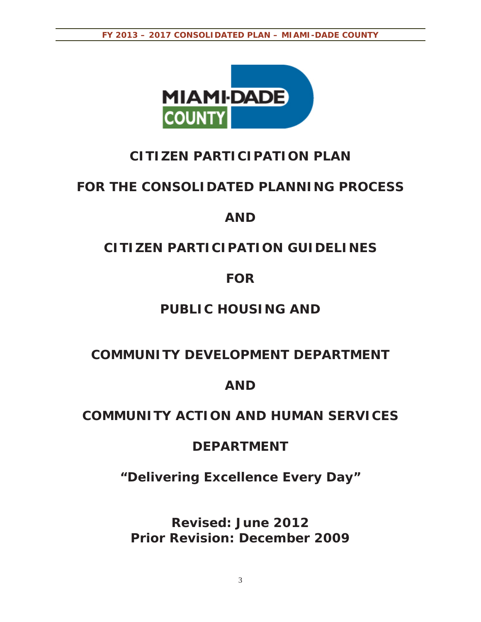

# **CITIZEN PARTICIPATION PLAN**

# **FOR THE CONSOLIDATED PLANNING PROCESS**

# **AND**

# **CITIZEN PARTICIPATION GUIDELINES**

# **FOR**

# **PUBLIC HOUSING AND**

# **COMMUNITY DEVELOPMENT DEPARTMENT**

# **AND**

# **COMMUNITY ACTION AND HUMAN SERVICES**

# **DEPARTMENT**

*"Delivering Excellence Every Day"* 

**Revised: June 2012 Prior Revision: December 2009**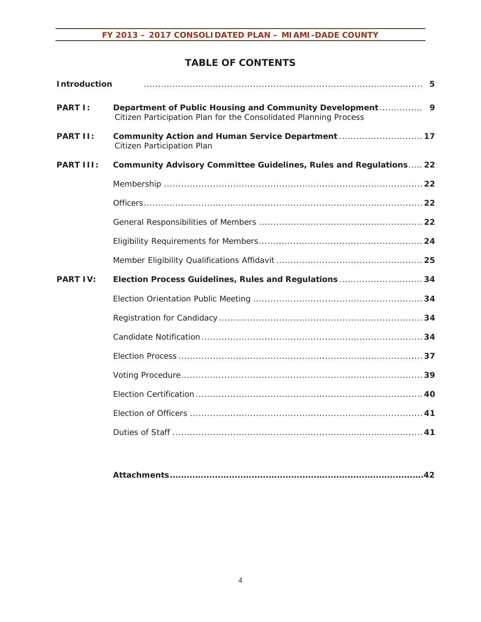### **TABLE OF CONTENTS**

| <b>Introduction</b> |                                                                                 |
|---------------------|---------------------------------------------------------------------------------|
| <b>PART I:</b>      | Citizen Participation Plan for the Consolidated Planning Process                |
| <b>PART II:</b>     | Community Action and Human Service Department  17<br>Citizen Participation Plan |
| <b>PART III:</b>    | <b>Community Advisory Committee Guidelines, Rules and Regulations 22</b>        |
|                     |                                                                                 |
|                     |                                                                                 |
|                     |                                                                                 |
|                     |                                                                                 |
|                     |                                                                                 |
| <b>PART IV:</b>     | Election Process Guidelines, Rules and Regulations  34                          |
|                     |                                                                                 |
|                     |                                                                                 |
|                     |                                                                                 |
|                     |                                                                                 |
|                     |                                                                                 |
|                     |                                                                                 |
|                     |                                                                                 |
|                     |                                                                                 |
|                     |                                                                                 |

|--|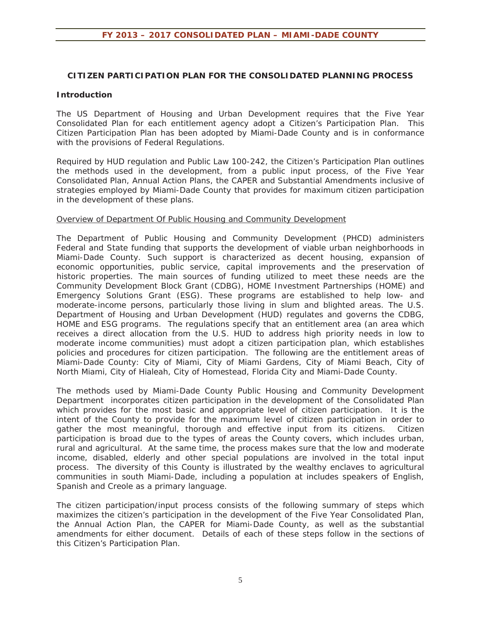#### **CITIZEN PARTICIPATION PLAN FOR THE CONSOLIDATED PLANNING PROCESS**

#### **Introduction**

The US Department of Housing and Urban Development requires that the Five Year Consolidated Plan for each entitlement agency adopt a Citizen's Participation Plan. This Citizen Participation Plan has been adopted by Miami-Dade County and is in conformance with the provisions of Federal Regulations.

Required by HUD regulation and Public Law 100-242, the Citizen's Participation Plan outlines the methods used in the development, from a public input process, of the Five Year Consolidated Plan, Annual Action Plans, the CAPER and Substantial Amendments inclusive of strategies employed by Miami-Dade County that provides for maximum citizen participation in the development of these plans.

#### Overview of Department Of Public Housing and Community Development

The Department of Public Housing and Community Development (PHCD) administers Federal and State funding that supports the development of viable urban neighborhoods in Miami-Dade County. Such support is characterized as decent housing, expansion of economic opportunities, public service, capital improvements and the preservation of historic properties. The main sources of funding utilized to meet these needs are the Community Development Block Grant (CDBG), HOME Investment Partnerships (HOME) and Emergency Solutions Grant (ESG). These programs are established to help low- and moderate-income persons, particularly those living in slum and blighted areas. The U.S. Department of Housing and Urban Development (HUD) regulates and governs the CDBG, HOME and ESG programs. The regulations specify that an entitlement area (an area which receives a direct allocation from the U.S. HUD to address high priority needs in low to moderate income communities) must adopt a citizen participation plan, which establishes policies and procedures for citizen participation. The following are the entitlement areas of Miami-Dade County: City of Miami, City of Miami Gardens, City of Miami Beach, City of North Miami, City of Hialeah, City of Homestead, Florida City and Miami-Dade County.

The methods used by Miami-Dade County Public Housing and Community Development Department incorporates citizen participation in the development of the Consolidated Plan which provides for the most basic and appropriate level of citizen participation. It is the intent of the County to provide for the maximum level of citizen participation in order to gather the most meaningful, thorough and effective input from its citizens. Citizen participation is broad due to the types of areas the County covers, which includes urban, rural and agricultural. At the same time, the process makes sure that the low and moderate income, disabled, elderly and other special populations are involved in the total input process. The diversity of this County is illustrated by the wealthy enclaves to agricultural communities in south Miami-Dade, including a population at includes speakers of English, Spanish and Creole as a primary language.

The citizen participation/input process consists of the following summary of steps which maximizes the citizen's participation in the development of the Five Year Consolidated Plan, the Annual Action Plan, the CAPER for Miami-Dade County, as well as the substantial amendments for either document. Details of each of these steps follow in the sections of this Citizen's Participation Plan.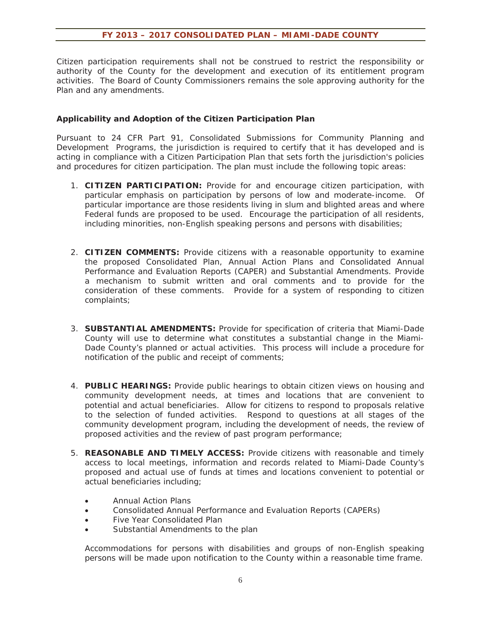Citizen participation requirements shall not be construed to restrict the responsibility or authority of the County for the development and execution of its entitlement program activities. The Board of County Commissioners remains the sole approving authority for the Plan and any amendments.

#### **Applicability and Adoption of the Citizen Participation Plan**

Pursuant to 24 CFR Part 91, Consolidated Submissions for Community Planning and Development Programs, the jurisdiction is required to certify that it has developed and is acting in compliance with a Citizen Participation Plan that sets forth the jurisdiction's policies and procedures for citizen participation. The plan must include the following topic areas:

- 1. **CITIZEN PARTICIPATION:** Provide for and encourage citizen participation, with particular emphasis on participation by persons of low and moderate-income. Of particular importance are those residents living in slum and blighted areas and where Federal funds are proposed to be used. Encourage the participation of all residents, including minorities, non-English speaking persons and persons with disabilities;
- 2. **CITIZEN COMMENTS:** Provide citizens with a reasonable opportunity to examine the proposed Consolidated Plan, Annual Action Plans and Consolidated Annual Performance and Evaluation Reports (CAPER) and Substantial Amendments. Provide a mechanism to submit written and oral comments and to provide for the consideration of these comments. Provide for a system of responding to citizen complaints;
- 3. **SUBSTANTIAL AMENDMENTS:** Provide for specification of criteria that Miami-Dade County will use to determine what constitutes a substantial change in the Miami-Dade County's planned or actual activities. This process will include a procedure for notification of the public and receipt of comments;
- 4. **PUBLIC HEARINGS:** Provide public hearings to obtain citizen views on housing and community development needs, at times and locations that are convenient to potential and actual beneficiaries. Allow for citizens to respond to proposals relative to the selection of funded activities. Respond to questions at all stages of the community development program, including the development of needs, the review of proposed activities and the review of past program performance;
- 5. **REASONABLE AND TIMELY ACCESS:** Provide citizens with reasonable and timely access to local meetings, information and records related to Miami-Dade County's proposed and actual use of funds at times and locations convenient to potential or actual beneficiaries including;
	- **\*** Annual Action Plans
	- **•** Consolidated Annual Performance and Evaluation Reports (CAPERs)
	- Five Year Consolidated Plan
	- Substantial Amendments to the plan

Accommodations for persons with disabilities and groups of non-English speaking persons will be made upon notification to the County within a reasonable time frame.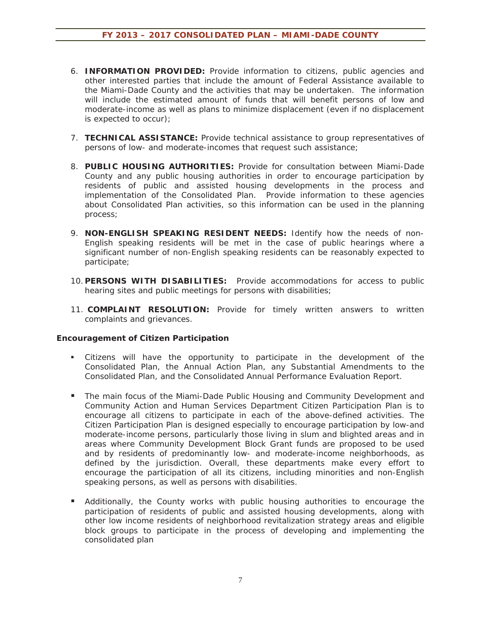- 6. **INFORMATION PROVIDED:** Provide information to citizens, public agencies and other interested parties that include the amount of Federal Assistance available to the Miami-Dade County and the activities that may be undertaken. The information will include the estimated amount of funds that will benefit persons of low and moderate-income as well as plans to minimize displacement (even if no displacement is expected to occur);
- 7. **TECHNICAL ASSISTANCE:** Provide technical assistance to group representatives of persons of low- and moderate-incomes that request such assistance;
- 8. **PUBLIC HOUSING AUTHORITIES:** Provide for consultation between Miami-Dade County and any public housing authorities in order to encourage participation by residents of public and assisted housing developments in the process and implementation of the Consolidated Plan. Provide information to these agencies about Consolidated Plan activities, so this information can be used in the planning process;
- 9. **NON-ENGLISH SPEAKING RESIDENT NEEDS:** Identify how the needs of non-English speaking residents will be met in the case of public hearings where a significant number of non-English speaking residents can be reasonably expected to participate;
- 10. **PERSONS WITH DISABILITIES:** Provide accommodations for access to public hearing sites and public meetings for persons with disabilities;
- 11. **COMPLAINT RESOLUTION:** Provide for timely written answers to written complaints and grievances.

#### **Encouragement of Citizen Participation**

- Citizens will have the opportunity to participate in the development of the Consolidated Plan, the Annual Action Plan, any Substantial Amendments to the Consolidated Plan, and the Consolidated Annual Performance Evaluation Report.
- **The main focus of the Miami-Dade Public Housing and Community Development and** Community Action and Human Services Department Citizen Participation Plan is to encourage all citizens to participate in each of the above-defined activities. The Citizen Participation Plan is designed especially to encourage participation by low-and moderate-income persons, particularly those living in slum and blighted areas and in areas where Community Development Block Grant funds are proposed to be used and by residents of predominantly low- and moderate-income neighborhoods, as defined by the jurisdiction. Overall, these departments make every effort to encourage the participation of all its citizens, including minorities and non-English speaking persons, as well as persons with disabilities.
- Additionally, the County works with public housing authorities to encourage the participation of residents of public and assisted housing developments, along with other low income residents of neighborhood revitalization strategy areas and eligible block groups to participate in the process of developing and implementing the consolidated plan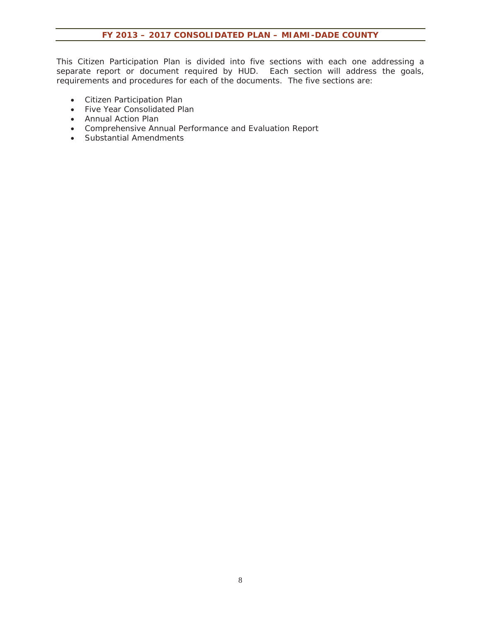This Citizen Participation Plan is divided into five sections with each one addressing a separate report or document required by HUD. Each section will address the goals, requirements and procedures for each of the documents. The five sections are:

- Citizen Participation Plan
- Five Year Consolidated Plan
- Annual Action Plan
- x Comprehensive Annual Performance and Evaluation Report
- Substantial Amendments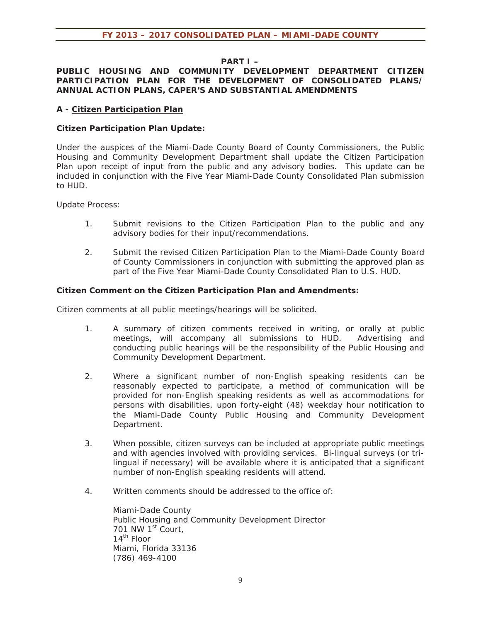#### **PART I –**

#### **PUBLIC HOUSING AND COMMUNITY DEVELOPMENT DEPARTMENT CITIZEN PARTICIPATION PLAN FOR THE DEVELOPMENT OF CONSOLIDATED PLANS/ ANNUAL ACTION PLANS, CAPER'S AND SUBSTANTIAL AMENDMENTS**

#### **A - Citizen Participation Plan**

#### **Citizen Participation Plan Update:**

Under the auspices of the Miami-Dade County Board of County Commissioners, the Public Housing and Community Development Department shall update the Citizen Participation Plan upon receipt of input from the public and any advisory bodies. This update can be included in conjunction with the Five Year Miami-Dade County Consolidated Plan submission to HUD.

Update Process:

- 1. Submit revisions to the Citizen Participation Plan to the public and any advisory bodies for their input/recommendations.
- 2. Submit the revised Citizen Participation Plan to the Miami-Dade County Board of County Commissioners in conjunction with submitting the approved plan as part of the Five Year Miami-Dade County Consolidated Plan to U.S. HUD.

#### **Citizen Comment on the Citizen Participation Plan and Amendments:**

Citizen comments at all public meetings/hearings will be solicited.

- 1. A summary of citizen comments received in writing, or orally at public meetings, will accompany all submissions to HUD. Advertising and conducting public hearings will be the responsibility of the Public Housing and Community Development Department.
- 2. Where a significant number of non-English speaking residents can be reasonably expected to participate, a method of communication will be provided for non-English speaking residents as well as accommodations for persons with disabilities, upon forty-eight (48) weekday hour notification to the Miami-Dade County Public Housing and Community Development Department.
- 3. When possible, citizen surveys can be included at appropriate public meetings and with agencies involved with providing services. Bi-lingual surveys (or trilingual if necessary) will be available where it is anticipated that a significant number of non-English speaking residents will attend.
- 4. Written comments should be addressed to the office of:

Miami-Dade County Public Housing and Community Development Director 701 NW 1<sup>st</sup> Court. 14th Floor Miami, Florida 33136 (786) 469-4100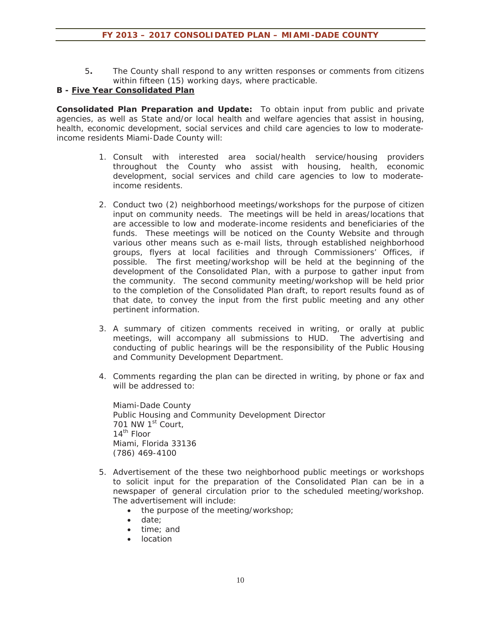5**.** The County shall respond to any written responses or comments from citizens within fifteen (15) working days, where practicable.

#### **B - Five Year Consolidated Plan**

**Consolidated Plan Preparation and Update:** To obtain input from public and private agencies, as well as State and/or local health and welfare agencies that assist in housing, health, economic development, social services and child care agencies to low to moderateincome residents Miami-Dade County will:

- 1. Consult with interested area social/health service/housing providers throughout the County who assist with housing, health, economic development, social services and child care agencies to low to moderateincome residents.
- 2. Conduct two (2) neighborhood meetings/workshops for the purpose of citizen input on community needs. The meetings will be held in areas/locations that are accessible to low and moderate-income residents and beneficiaries of the funds. These meetings will be noticed on the County Website and through various other means such as e-mail lists, through established neighborhood groups, flyers at local facilities and through Commissioners' Offices, if possible. The first meeting/workshop will be held at the beginning of the development of the Consolidated Plan, with a purpose to gather input from the community. The second community meeting/workshop will be held prior to the completion of the Consolidated Plan draft, to report results found as of that date, to convey the input from the first public meeting and any other pertinent information.
- 3. A summary of citizen comments received in writing, or orally at public meetings, will accompany all submissions to HUD. The advertising and conducting of public hearings will be the responsibility of the Public Housing and Community Development Department.
- 4. Comments regarding the plan can be directed in writing, by phone or fax and will be addressed to:

Miami-Dade County Public Housing and Community Development Director 701 NW  $1<sup>st</sup>$  Court,  $14^{\text{th}}$  Floor Miami, Florida 33136 (786) 469-4100

- 5. Advertisement of the these two neighborhood public meetings or workshops to solicit input for the preparation of the Consolidated Plan can be in a newspaper of general circulation prior to the scheduled meeting/workshop. The advertisement will include:
	- $\bullet$  the purpose of the meeting/workshop;
	- date:
	- $\bullet$  time; and
	- location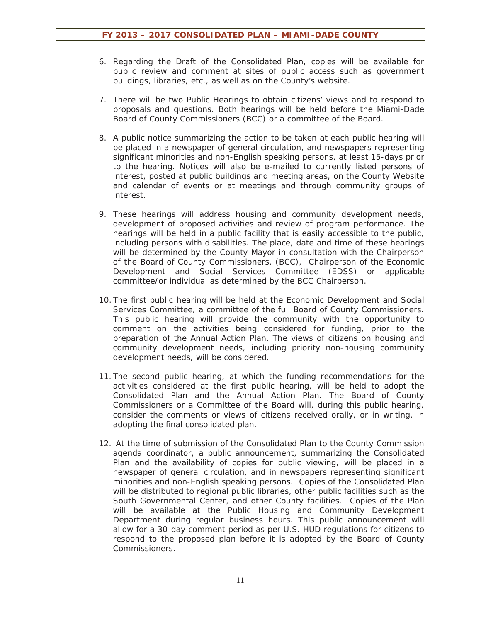- 6. Regarding the Draft of the Consolidated Plan, copies will be available for public review and comment at sites of public access such as government buildings, libraries, etc., as well as on the County's website.
- 7. There will be two Public Hearings to obtain citizens' views and to respond to proposals and questions. Both hearings will be held before the Miami-Dade Board of County Commissioners (BCC) or a committee of the Board.
- 8. A public notice summarizing the action to be taken at each public hearing will be placed in a newspaper of general circulation, and newspapers representing significant minorities and non-English speaking persons, at least 15-days prior to the hearing. Notices will also be e-mailed to currently listed persons of interest, posted at public buildings and meeting areas, on the County Website and calendar of events or at meetings and through community groups of interest.
- 9. These hearings will address housing and community development needs, development of proposed activities and review of program performance. The hearings will be held in a public facility that is easily accessible to the public, including persons with disabilities. The place, date and time of these hearings will be determined by the County Mayor in consultation with the Chairperson of the Board of County Commissioners, (BCC), Chairperson of the Economic Development and Social Services Committee (EDSS) or applicable committee/or individual as determined by the BCC Chairperson.
- 10. The first public hearing will be held at the Economic Development and Social Services Committee, a committee of the full Board of County Commissioners. This public hearing will provide the community with the opportunity to comment on the activities being considered for funding, prior to the preparation of the Annual Action Plan. The views of citizens on housing and community development needs, including priority non-housing community development needs, will be considered.
- 11. The second public hearing, at which the funding recommendations for the activities considered at the first public hearing, will be held to adopt the Consolidated Plan and the Annual Action Plan. The Board of County Commissioners or a Committee of the Board will, during this public hearing, consider the comments or views of citizens received orally, or in writing, in adopting the final consolidated plan.
- 12. At the time of submission of the Consolidated Plan to the County Commission agenda coordinator, a public announcement, summarizing the Consolidated Plan and the availability of copies for public viewing, will be placed in a newspaper of general circulation, and in newspapers representing significant minorities and non-English speaking persons. Copies of the Consolidated Plan will be distributed to regional public libraries, other public facilities such as the South Governmental Center, and other County facilities. Copies of the Plan will be available at the Public Housing and Community Development Department during regular business hours. This public announcement will allow for a 30-day comment period as per U.S. HUD regulations for citizens to respond to the proposed plan before it is adopted by the Board of County Commissioners.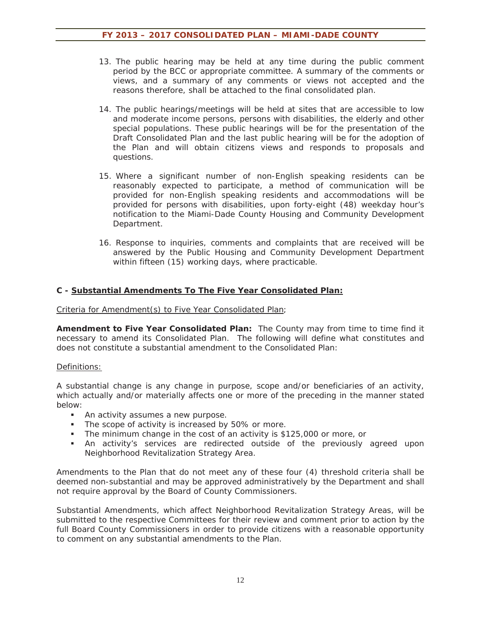- 13. The public hearing may be held at any time during the public comment period by the BCC or appropriate committee. A summary of the comments or views, and a summary of any comments or views not accepted and the reasons therefore, shall be attached to the final consolidated plan.
- 14. The public hearings/meetings will be held at sites that are accessible to low and moderate income persons, persons with disabilities, the elderly and other special populations. These public hearings will be for the presentation of the Draft Consolidated Plan and the last public hearing will be for the adoption of the Plan and will obtain citizens views and responds to proposals and questions.
- 15. Where a significant number of non-English speaking residents can be reasonably expected to participate, a method of communication will be provided for non-English speaking residents and accommodations will be provided for persons with disabilities, upon forty-eight (48) weekday hour's notification to the Miami-Dade County Housing and Community Development Department.
- 16. Response to inquiries, comments and complaints that are received will be answered by the Public Housing and Community Development Department within fifteen (15) working days, where practicable.

#### **C - Substantial Amendments To The Five Year Consolidated Plan:**

#### Criteria for Amendment(s) to Five Year Consolidated Plan;

**Amendment to Five Year Consolidated Plan:** The County may from time to time find it necessary to amend its Consolidated Plan. The following will define what constitutes and does not constitute a substantial amendment to the Consolidated Plan:

#### Definitions:

A substantial change is any change in purpose, scope and/or beneficiaries of an activity, which actually and/or materially affects one or more of the preceding in the manner stated below:

- An activity assumes a new purpose.
- The scope of activity is increased by 50% or more.
- The minimum change in the cost of an activity is \$125,000 or more, or
- An activity's services are redirected outside of the previously agreed upon Neighborhood Revitalization Strategy Area.

Amendments to the Plan that do not meet any of these four (4) threshold criteria shall be deemed non-substantial and may be approved administratively by the Department and shall not require approval by the Board of County Commissioners.

Substantial Amendments, which affect Neighborhood Revitalization Strategy Areas, will be submitted to the respective Committees for their review and comment prior to action by the full Board County Commissioners in order to provide citizens with a reasonable opportunity to comment on any substantial amendments to the Plan.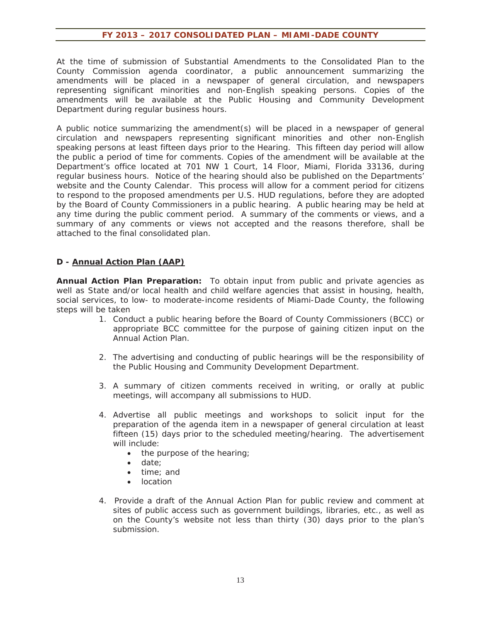At the time of submission of Substantial Amendments to the Consolidated Plan to the County Commission agenda coordinator, a public announcement summarizing the amendments will be placed in a newspaper of general circulation, and newspapers representing significant minorities and non-English speaking persons. Copies of the amendments will be available at the Public Housing and Community Development Department during regular business hours.

A public notice summarizing the amendment(s) will be placed in a newspaper of general circulation and newspapers representing significant minorities and other non-English speaking persons at least fifteen days prior to the Hearing. This fifteen day period will allow the public a period of time for comments. Copies of the amendment will be available at the Department's office located at 701 NW 1 Court, 14 Floor, Miami, Florida 33136, during regular business hours. Notice of the hearing should also be published on the Departments' website and the County Calendar. This process will allow for a comment period for citizens to respond to the proposed amendments per U.S. HUD regulations, before they are adopted by the Board of County Commissioners in a public hearing. A public hearing may be held at any time during the public comment period. A summary of the comments or views, and a summary of any comments or views not accepted and the reasons therefore, shall be attached to the final consolidated plan.

#### **D - Annual Action Plan (AAP)**

**Annual Action Plan Preparation:** To obtain input from public and private agencies as well as State and/or local health and child welfare agencies that assist in housing, health, social services, to low- to moderate-income residents of Miami-Dade County, the following steps will be taken

- 1. Conduct a public hearing before the Board of County Commissioners (BCC) or appropriate BCC committee for the purpose of gaining citizen input on the Annual Action Plan.
- 2. The advertising and conducting of public hearings will be the responsibility of the Public Housing and Community Development Department.
- 3. A summary of citizen comments received in writing, or orally at public meetings, will accompany all submissions to HUD.
- 4. Advertise all public meetings and workshops to solicit input for the preparation of the agenda item in a newspaper of general circulation at least fifteen (15) days prior to the scheduled meeting/hearing. The advertisement will include:
	- $\bullet$  the purpose of the hearing;
	- $\bullet$  date;
	- time: and
	- $\bullet$  location
- 4. Provide a draft of the Annual Action Plan for public review and comment at sites of public access such as government buildings, libraries, etc., as well as on the County's website not less than thirty (30) days prior to the plan's submission.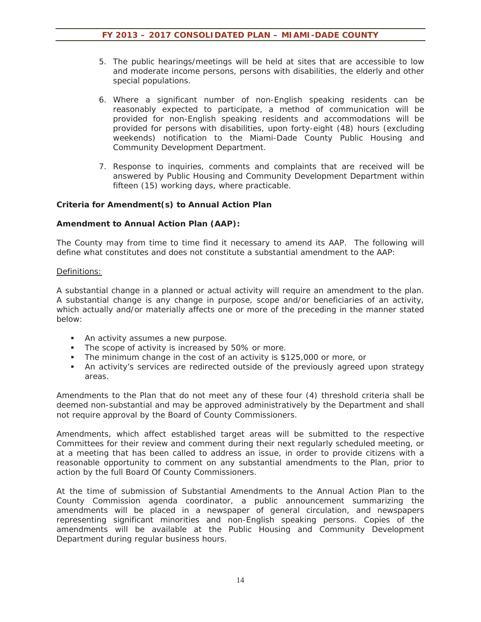- 5. The public hearings/meetings will be held at sites that are accessible to low and moderate income persons, persons with disabilities, the elderly and other special populations.
- 6. Where a significant number of non-English speaking residents can be reasonably expected to participate, a method of communication will be provided for non-English speaking residents and accommodations will be provided for persons with disabilities, upon forty-eight (48) hours (excluding weekends) notification to the Miami-Dade County Public Housing and Community Development Department.
- 7. Response to inquiries, comments and complaints that are received will be answered by Public Housing and Community Development Department within fifteen (15) working days, where practicable.

#### **Criteria for Amendment(s) to Annual Action Plan**

#### **Amendment to Annual Action Plan (AAP):**

The County may from time to time find it necessary to amend its AAP. The following will define what constitutes and does not constitute a substantial amendment to the AAP:

#### Definitions:

A substantial change in a planned or actual activity will require an amendment to the plan. A substantial change is any change in purpose, scope and/or beneficiaries of an activity, which actually and/or materially affects one or more of the preceding in the manner stated below:

- An activity assumes a new purpose.
- The scope of activity is increased by 50% or more.
- The minimum change in the cost of an activity is \$125,000 or more, or
- An activity's services are redirected outside of the previously agreed upon strategy areas.

Amendments to the Plan that do not meet any of these four (4) threshold criteria shall be deemed non-substantial and may be approved administratively by the Department and shall not require approval by the Board of County Commissioners.

Amendments, which affect established target areas will be submitted to the respective Committees for their review and comment during their next regularly scheduled meeting, or at a meeting that has been called to address an issue, in order to provide citizens with a reasonable opportunity to comment on any substantial amendments to the Plan, prior to action by the full Board Of County Commissioners.

At the time of submission of Substantial Amendments to the Annual Action Plan to the County Commission agenda coordinator, a public announcement summarizing the amendments will be placed in a newspaper of general circulation, and newspapers representing significant minorities and non-English speaking persons. Copies of the amendments will be available at the Public Housing and Community Development Department during regular business hours.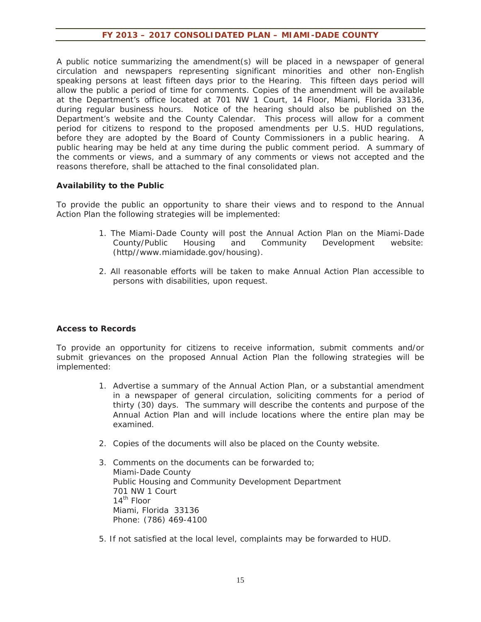A public notice summarizing the amendment(s) will be placed in a newspaper of general circulation and newspapers representing significant minorities and other non-English speaking persons at least fifteen days prior to the Hearing. This fifteen days period will allow the public a period of time for comments. Copies of the amendment will be available at the Department's office located at 701 NW 1 Court, 14 Floor, Miami, Florida 33136, during regular business hours. Notice of the hearing should also be published on the Department's website and the County Calendar. This process will allow for a comment period for citizens to respond to the proposed amendments per U.S. HUD regulations, before they are adopted by the Board of County Commissioners in a public hearing. A public hearing may be held at any time during the public comment period. A summary of the comments or views, and a summary of any comments or views not accepted and the reasons therefore, shall be attached to the final consolidated plan.

#### **Availability to the Public**

To provide the public an opportunity to share their views and to respond to the Annual Action Plan the following strategies will be implemented:

- 1. The Miami-Dade County will post the Annual Action Plan on the Miami-Dade County/Public Housing and Community Development website: (http//www.miamidade.gov/housing).
- 2. All reasonable efforts will be taken to make Annual Action Plan accessible to persons with disabilities, upon request.

#### **Access to Records**

To provide an opportunity for citizens to receive information, submit comments and/or submit grievances on the proposed Annual Action Plan the following strategies will be implemented:

- 1. Advertise a summary of the Annual Action Plan, or a substantial amendment in a newspaper of general circulation, soliciting comments for a period of thirty (30) days. The summary will describe the contents and purpose of the Annual Action Plan and will include locations where the entire plan may be examined.
- 2. Copies of the documents will also be placed on the County website.
- 3. Comments on the documents can be forwarded to; Miami-Dade County Public Housing and Community Development Department 701 NW 1 Court  $14^{\text{th}}$  Floor Miami, Florida 33136 Phone: (786) 469-4100
- 5. If not satisfied at the local level, complaints may be forwarded to HUD.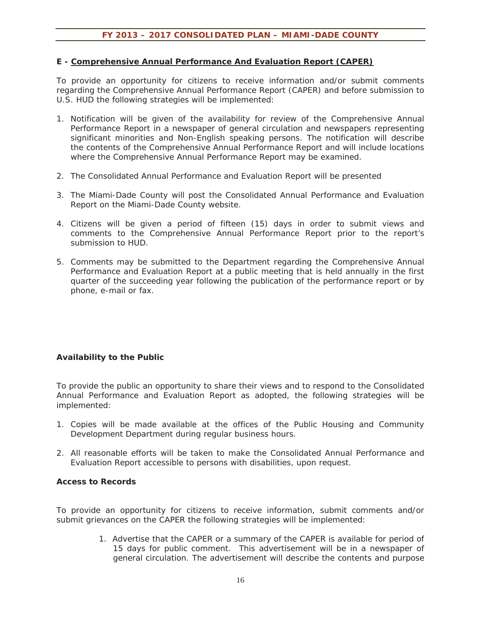#### **E - Comprehensive Annual Performance And Evaluation Report (CAPER)**

To provide an opportunity for citizens to receive information and/or submit comments regarding the Comprehensive Annual Performance Report (CAPER) and before submission to U.S. HUD the following strategies will be implemented:

- 1. Notification will be given of the availability for review of the Comprehensive Annual Performance Report in a newspaper of general circulation and newspapers representing significant minorities and Non-English speaking persons. The notification will describe the contents of the Comprehensive Annual Performance Report and will include locations where the Comprehensive Annual Performance Report may be examined.
- 2. The Consolidated Annual Performance and Evaluation Report will be presented
- 3. The Miami-Dade County will post the Consolidated Annual Performance and Evaluation Report on the Miami-Dade County website.
- 4. Citizens will be given a period of fifteen (15) days in order to submit views and comments to the Comprehensive Annual Performance Report prior to the report's submission to HUD.
- 5. Comments may be submitted to the Department regarding the Comprehensive Annual Performance and Evaluation Report at a public meeting that is held annually in the first quarter of the succeeding year following the publication of the performance report or by phone, e-mail or fax.

#### **Availability to the Public**

To provide the public an opportunity to share their views and to respond to the Consolidated Annual Performance and Evaluation Report as adopted, the following strategies will be implemented:

- 1. Copies will be made available at the offices of the Public Housing and Community Development Department during regular business hours.
- 2. All reasonable efforts will be taken to make the Consolidated Annual Performance and Evaluation Report accessible to persons with disabilities, upon request.

#### **Access to Records**

To provide an opportunity for citizens to receive information, submit comments and/or submit grievances on the CAPER the following strategies will be implemented:

> 1. Advertise that the CAPER or a summary of the CAPER is available for period of 15 days for public comment. This advertisement will be in a newspaper of general circulation. The advertisement will describe the contents and purpose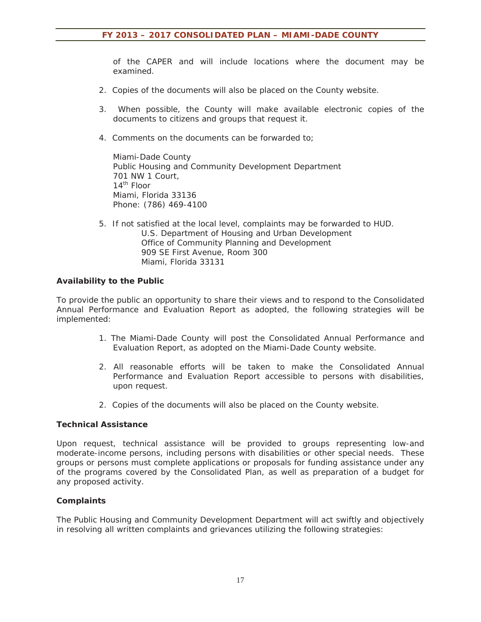of the CAPER and will include locations where the document may be examined.

- 2. Copies of the documents will also be placed on the County website.
- 3. When possible, the County will make available electronic copies of the documents to citizens and groups that request it.
- 4. Comments on the documents can be forwarded to;

Miami-Dade County Public Housing and Community Development Department 701 NW 1 Court,  $14^{\text{th}}$  Floor Miami, Florida 33136 Phone: (786) 469-4100

5. If not satisfied at the local level, complaints may be forwarded to HUD. U.S. Department of Housing and Urban Development Office of Community Planning and Development 909 SE First Avenue, Room 300 Miami, Florida 33131

#### **Availability to the Public**

To provide the public an opportunity to share their views and to respond to the Consolidated Annual Performance and Evaluation Report as adopted, the following strategies will be implemented:

- 1. The Miami-Dade County will post the Consolidated Annual Performance and Evaluation Report, as adopted on the Miami-Dade County website.
- 2. All reasonable efforts will be taken to make the Consolidated Annual Performance and Evaluation Report accessible to persons with disabilities, upon request.
- 2. Copies of the documents will also be placed on the County website.

#### **Technical Assistance**

Upon request, technical assistance will be provided to groups representing low-and moderate-income persons, including persons with disabilities or other special needs. These groups or persons must complete applications or proposals for funding assistance under any of the programs covered by the Consolidated Plan, as well as preparation of a budget for any proposed activity.

#### **Complaints**

The Public Housing and Community Development Department will act swiftly and objectively in resolving all written complaints and grievances utilizing the following strategies: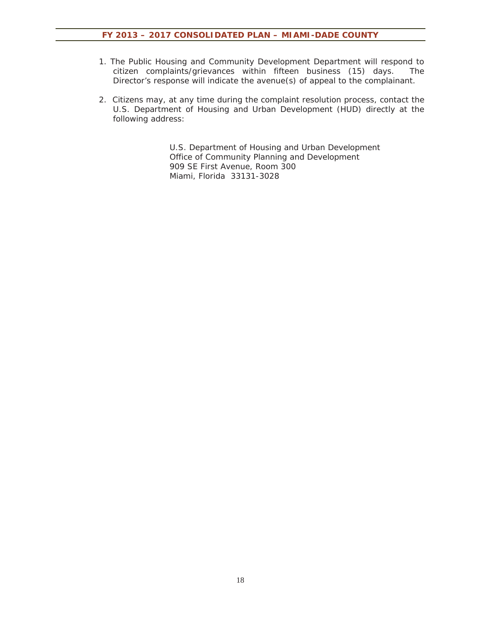- 1. The Public Housing and Community Development Department will respond to citizen complaints/grievances within fifteen business (15) days. The Director's response will indicate the avenue(s) of appeal to the complainant.
- 2. Citizens may, at any time during the complaint resolution process, contact the U.S. Department of Housing and Urban Development (HUD) directly at the following address:

 U.S. Department of Housing and Urban Development Office of Community Planning and Development 909 SE First Avenue, Room 300 Miami, Florida 33131-3028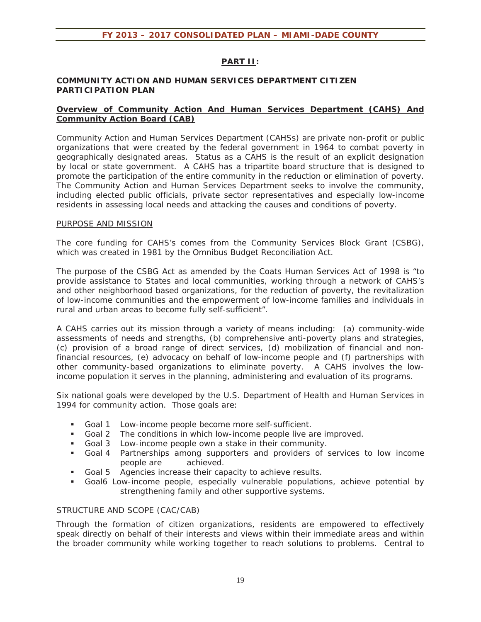#### **PART II:**

#### **COMMUNITY ACTION AND HUMAN SERVICES DEPARTMENT CITIZEN PARTICIPATION PLAN**

#### **Overview of Community Action And Human Services Department (CAHS) And Community Action Board (CAB)**

Community Action and Human Services Department (CAHSs) are private non-profit or public organizations that were created by the federal government in 1964 to combat poverty in geographically designated areas. Status as a CAHS is the result of an explicit designation by local or state government. A CAHS has a tripartite board structure that is designed to promote the participation of the entire community in the reduction or elimination of poverty. The Community Action and Human Services Department seeks to involve the community, including elected public officials, private sector representatives and especially low-income residents in assessing local needs and attacking the causes and conditions of poverty.

#### PURPOSE AND MISSION

The core funding for CAHS's comes from the Community Services Block Grant (CSBG), which was created in 1981 by the Omnibus Budget Reconciliation Act.

The purpose of the CSBG Act as amended by the Coats Human Services Act of 1998 is "to provide assistance to States and local communities, working through a network of CAHS's and other neighborhood based organizations, for the reduction of poverty, the revitalization of low-income communities and the empowerment of low-income families and individuals in rural and urban areas to become fully self-sufficient".

A CAHS carries out its mission through a variety of means including: (a) community-wide assessments of needs and strengths, (b) comprehensive anti-poverty plans and strategies, (c) provision of a broad range of direct services, (d) mobilization of financial and nonfinancial resources, (e) advocacy on behalf of low-income people and (f) partnerships with other community-based organizations to eliminate poverty. A CAHS involves the lowincome population it serves in the planning, administering and evaluation of its programs.

Six national goals were developed by the U.S. Department of Health and Human Services in 1994 for community action. Those goals are:

- Goal 1 Low-income people become more self-sufficient.
- Goal 2 The conditions in which low-income people live are improved.
- Goal 3 Low-income people own a stake in their community.
- Goal 4 Partnerships among supporters and providers of services to low income people are achieved.
- Goal 5 Agencies increase their capacity to achieve results.
- Goal6 Low-income people, especially vulnerable populations, achieve potential by strengthening family and other supportive systems.

#### STRUCTURE AND SCOPE (CAC/CAB)

Through the formation of citizen organizations, residents are empowered to effectively speak directly on behalf of their interests and views within their immediate areas and within the broader community while working together to reach solutions to problems. Central to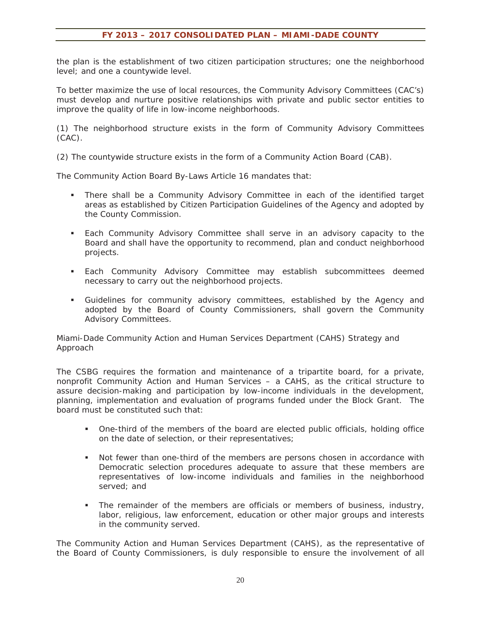the plan is the establishment of two citizen participation structures; one the neighborhood level; and one a countywide level.

To better maximize the use of local resources, the Community Advisory Committees (CAC's) must develop and nurture positive relationships with private and public sector entities to improve the quality of life in low-income neighborhoods.

(1) The neighborhood structure exists in the form of Community Advisory Committees (CAC).

(2) The countywide structure exists in the form of a Community Action Board (CAB).

The Community Action Board By-Laws Article 16 mandates that:

- There shall be a Community Advisory Committee in each of the identified target areas as established by Citizen Participation Guidelines of the Agency and adopted by the County Commission.
- Each Community Advisory Committee shall serve in an advisory capacity to the Board and shall have the opportunity to recommend, plan and conduct neighborhood projects.
- **Each Community Advisory Committee may establish subcommittees deemed** necessary to carry out the neighborhood projects.
- Guidelines for community advisory committees, established by the Agency and adopted by the Board of County Commissioners, shall govern the Community Advisory Committees.

Miami-Dade Community Action and Human Services Department (CAHS) Strategy and Approach

The CSBG requires the formation and maintenance of a tripartite board, for a private, nonprofit Community Action and Human Services – a CAHS, as the critical structure to assure decision-making and participation by low-income individuals in the development, planning, implementation and evaluation of programs funded under the Block Grant. The board must be constituted such that:

- One-third of the members of the board are elected public officials, holding office on the date of selection, or their representatives;
- Not fewer than one-third of the members are persons chosen in accordance with Democratic selection procedures adequate to assure that these members are representatives of low-income individuals and families in the neighborhood served; and
- The remainder of the members are officials or members of business, industry, labor, religious, law enforcement, education or other major groups and interests in the community served.

The Community Action and Human Services Department (CAHS), as the representative of the Board of County Commissioners, is duly responsible to ensure the involvement of all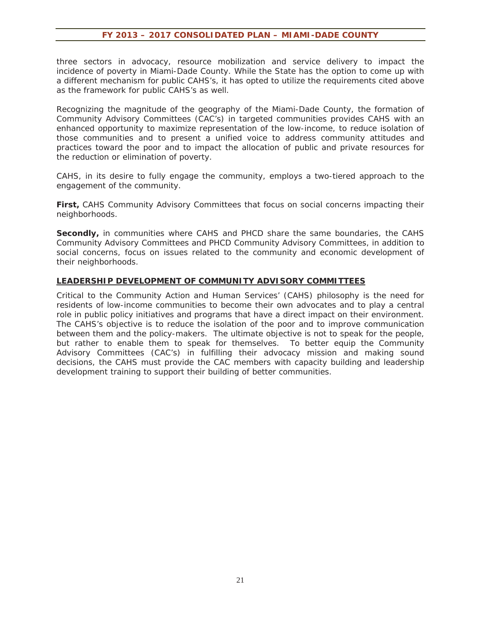three sectors in advocacy, resource mobilization and service delivery to impact the incidence of poverty in Miami-Dade County. While the State has the option to come up with a different mechanism for public CAHS's, it has opted to utilize the requirements cited above as the framework for public CAHS's as well.

Recognizing the magnitude of the geography of the Miami-Dade County, the formation of Community Advisory Committees (CAC's) in targeted communities provides CAHS with an enhanced opportunity to maximize representation of the low-income, to reduce isolation of those communities and to present a unified voice to address community attitudes and practices toward the poor and to impact the allocation of public and private resources for the reduction or elimination of poverty.

CAHS, in its desire to fully engage the community, employs a two-tiered approach to the engagement of the community.

**First,** CAHS Community Advisory Committees that focus on social concerns impacting their neighborhoods.

**Secondly,** in communities where CAHS and PHCD share the same boundaries, the CAHS Community Advisory Committees and PHCD Community Advisory Committees, in addition to social concerns, focus on issues related to the community and economic development of their neighborhoods.

#### **LEADERSHIP DEVELOPMENT OF COMMUNITY ADVISORY COMMITTEES**

Critical to the Community Action and Human Services' (CAHS) philosophy is the need for residents of low-income communities to become their own advocates and to play a central role in public policy initiatives and programs that have a direct impact on their environment. The CAHS's objective is to reduce the isolation of the poor and to improve communication between them and the policy-makers. The ultimate objective is not to speak for the people, but rather to enable them to speak for themselves. To better equip the Community Advisory Committees (CAC's) in fulfilling their advocacy mission and making sound decisions, the CAHS must provide the CAC members with capacity building and leadership development training to support their building of better communities.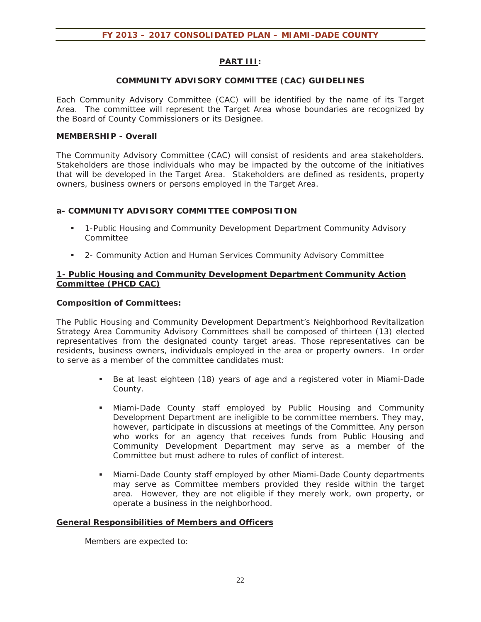#### **PART III:**

#### **COMMUNITY ADVISORY COMMITTEE (CAC) GUIDELINES**

Each Community Advisory Committee (CAC) will be identified by the name of its Target Area. The committee will represent the Target Area whose boundaries are recognized by the Board of County Commissioners or its Designee.

#### **MEMBERSHIP - Overall**

The Community Advisory Committee (CAC) will consist of residents and area stakeholders. Stakeholders are those individuals who may be impacted by the outcome of the initiatives that will be developed in the Target Area. Stakeholders are defined as residents, property owners, business owners or persons employed in the Target Area.

#### **a- COMMUNITY ADVISORY COMMITTEE COMPOSITION**

- 1-Public Housing and Community Development Department Community Advisory Committee
- 2- Community Action and Human Services Community Advisory Committee

#### **1- Public Housing and Community Development Department Community Action Committee (PHCD CAC)**

#### **Composition of Committees:**

The Public Housing and Community Development Department's Neighborhood Revitalization Strategy Area Community Advisory Committees shall be composed of thirteen (13) elected representatives from the designated county target areas. Those representatives can be residents, business owners, individuals employed in the area or property owners. In order to serve as a member of the committee candidates must:

- Be at least eighteen (18) years of age and a registered voter in Miami-Dade County.
- Miami-Dade County staff employed by Public Housing and Community Development Department are ineligible to be committee members. They may, however, participate in discussions at meetings of the Committee. Any person who works for an agency that receives funds from Public Housing and Community Development Department may serve as a member of the Committee but must adhere to rules of conflict of interest.
- Miami-Dade County staff employed by other Miami-Dade County departments may serve as Committee members provided they reside within the target area. However, they are not eligible if they merely work, own property, or operate a business in the neighborhood.

#### **General Responsibilities of Members and Officers**

Members are expected to: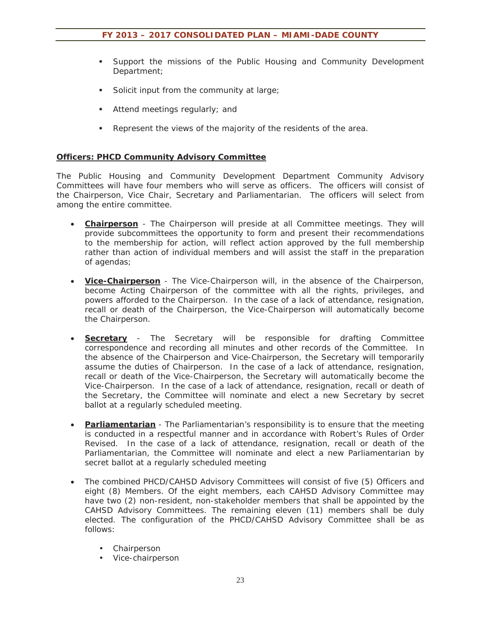- Support the missions of the Public Housing and Community Development Department;
- Solicit input from the community at large;
- Attend meetings regularly; and
- **Represent the views of the majority of the residents of the area.**

#### **Officers: PHCD Community Advisory Committee**

The Public Housing and Community Development Department Community Advisory Committees will have four members who will serve as officers. The officers will consist of the Chairperson, Vice Chair, Secretary and Parliamentarian. The officers will select from among the entire committee.

- **Chairperson** The Chairperson will preside at all Committee meetings. They will provide subcommittees the opportunity to form and present their recommendations to the membership for action, will reflect action approved by the full membership rather than action of individual members and will assist the staff in the preparation of agendas;
- **Vice-Chairperson** The Vice-Chairperson will, in the absence of the Chairperson, become Acting Chairperson of the committee with all the rights, privileges, and powers afforded to the Chairperson. In the case of a lack of attendance, resignation, recall or death of the Chairperson, the Vice-Chairperson will automatically become the Chairperson.
- **Secretary** The Secretary will be responsible for drafting Committee correspondence and recording all minutes and other records of the Committee. In the absence of the Chairperson and Vice-Chairperson, the Secretary will temporarily assume the duties of Chairperson. In the case of a lack of attendance, resignation, recall or death of the Vice-Chairperson, the Secretary will automatically become the Vice-Chairperson. In the case of a lack of attendance, resignation, recall or death of the Secretary, the Committee will nominate and elect a new Secretary by secret ballot at a regularly scheduled meeting.
- **Parliamentarian** The Parliamentarian's responsibility is to ensure that the meeting is conducted in a respectful manner and in accordance with Robert's Rules of Order Revised. In the case of a lack of attendance, resignation, recall or death of the Parliamentarian, the Committee will nominate and elect a new Parliamentarian by secret ballot at a regularly scheduled meeting
- The combined PHCD/CAHSD Advisory Committees will consist of five (5) Officers and eight (8) Members. Of the eight members, each CAHSD Advisory Committee may have two (2) non-resident, non-stakeholder members that shall be appointed by the CAHSD Advisory Committees. The remaining eleven (11) members shall be duly elected. The configuration of the PHCD/CAHSD Advisory Committee shall be as follows:
	- Chairperson
	- Vice-chairperson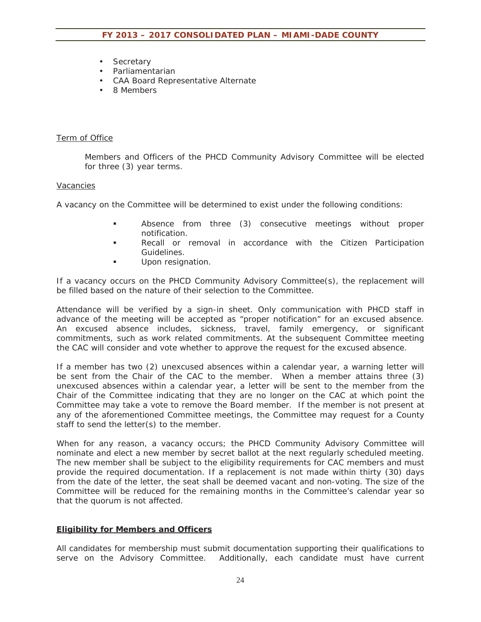- Secretary
- Parliamentarian
- CAA Board Representative Alternate
- 8 Members

#### Term of Office

Members and Officers of the PHCD Community Advisory Committee will be elected for three (3) year terms.

#### Vacancies

A vacancy on the Committee will be determined to exist under the following conditions:

- Absence from three (3) consecutive meetings without proper notification.
- Recall or removal in accordance with the Citizen Participation Guidelines.
- Upon resignation.

If a vacancy occurs on the PHCD Community Advisory Committee(s), the replacement will be filled based on the nature of their selection to the Committee.

Attendance will be verified by a sign-in sheet. Only communication with PHCD staff in advance of the meeting will be accepted as "proper notification" for an excused absence. An excused absence includes, sickness, travel, family emergency, or significant commitments, such as work related commitments. At the subsequent Committee meeting the CAC will consider and vote whether to approve the request for the excused absence.

If a member has two (2) unexcused absences within a calendar year, a warning letter will be sent from the Chair of the CAC to the member. When a member attains three (3) unexcused absences within a calendar year, a letter will be sent to the member from the Chair of the Committee indicating that they are no longer on the CAC at which point the Committee may take a vote to remove the Board member. If the member is not present at any of the aforementioned Committee meetings, the Committee may request for a County staff to send the letter(s) to the member.

When for any reason, a vacancy occurs; the PHCD Community Advisory Committee will nominate and elect a new member by secret ballot at the next regularly scheduled meeting. The new member shall be subject to the eligibility requirements for CAC members and must provide the required documentation. If a replacement is not made within thirty (30) days from the date of the letter, the seat shall be deemed vacant and non-voting. The size of the Committee will be reduced for the remaining months in the Committee's calendar year so that the quorum is not affected.

#### **Eligibility for Members and Officers**

All candidates for membership must submit documentation supporting their qualifications to serve on the Advisory Committee. Additionally, each candidate must have current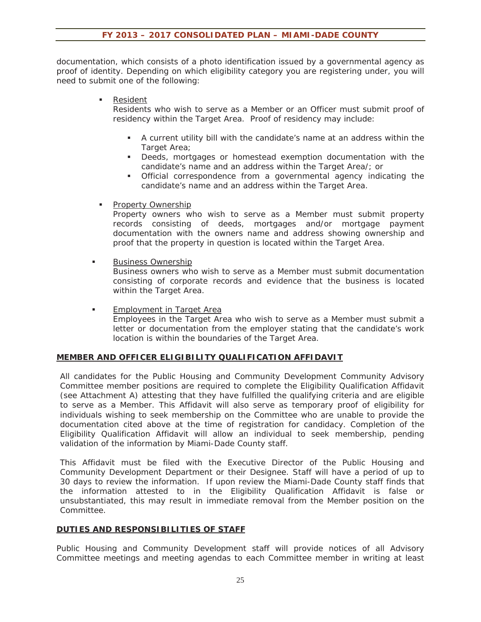documentation, which consists of a photo identification issued by a governmental agency as proof of identity. Depending on which eligibility category you are registering under, you will need to submit one of the following:

**Resident** 

Residents who wish to serve as a Member or an Officer must submit proof of residency within the Target Area. Proof of residency may include:

- A current utility bill with the candidate's name at an address within the Target Area;
- Deeds, mortgages or homestead exemption documentation with the candidate's name and an address within the Target Area/; or
- Official correspondence from a governmental agency indicating the candidate's name and an address within the Target Area.
- **Property Ownership**

Property owners who wish to serve as a Member must submit property records consisting of deeds, mortgages and/or mortgage payment documentation with the owners name and address showing ownership and proof that the property in question is located within the Target Area.

**Business Ownership** 

Business owners who wish to serve as a Member must submit documentation consisting of corporate records and evidence that the business is located within the Target Area.

**Employment in Target Area** Employees in the Target Area who wish to serve as a Member must submit a letter or documentation from the employer stating that the candidate's work location is within the boundaries of the Target Area.

#### **MEMBER AND OFFICER ELIGIBILITY QUALIFICATION AFFIDAVIT**

All candidates for the Public Housing and Community Development Community Advisory Committee member positions are required to complete the Eligibility Qualification Affidavit (see Attachment A) attesting that they have fulfilled the qualifying criteria and are eligible to serve as a Member. This Affidavit will also serve as temporary proof of eligibility for individuals wishing to seek membership on the Committee who are unable to provide the documentation cited above at the time of registration for candidacy. Completion of the Eligibility Qualification Affidavit will allow an individual to seek membership, pending validation of the information by Miami-Dade County staff.

This Affidavit must be filed with the Executive Director of the Public Housing and Community Development Department or their Designee. Staff will have a period of up to 30 days to review the information. If upon review the Miami-Dade County staff finds that the information attested to in the Eligibility Qualification Affidavit is false or unsubstantiated, this may result in immediate removal from the Member position on the Committee.

#### **DUTIES AND RESPONSIBILITIES OF STAFF**

Public Housing and Community Development staff will provide notices of all Advisory Committee meetings and meeting agendas to each Committee member in writing at least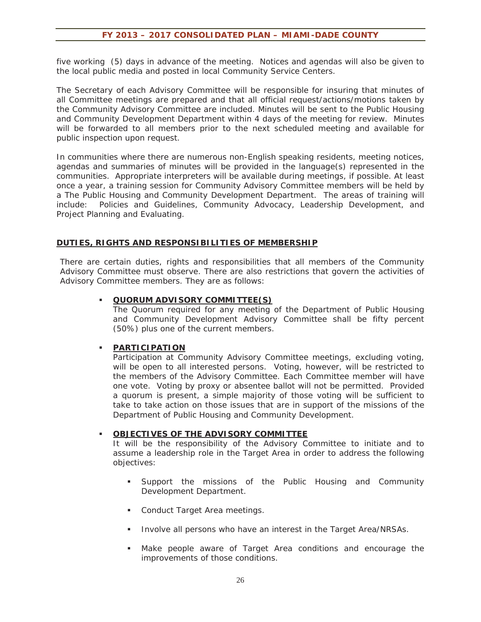five working (5) days in advance of the meeting. Notices and agendas will also be given to the local public media and posted in local Community Service Centers.

The Secretary of each Advisory Committee will be responsible for insuring that minutes of all Committee meetings are prepared and that all official request/actions/motions taken by the Community Advisory Committee are included. Minutes will be sent to the Public Housing and Community Development Department within 4 days of the meeting for review. Minutes will be forwarded to all members prior to the next scheduled meeting and available for public inspection upon request.

In communities where there are numerous non-English speaking residents, meeting notices, agendas and summaries of minutes will be provided in the language(s) represented in the communities. Appropriate interpreters will be available during meetings, if possible. At least once a year, a training session for Community Advisory Committee members will be held by a The Public Housing and Community Development Department. The areas of training will include: Policies and Guidelines, Community Advocacy, Leadership Development, and Project Planning and Evaluating.

#### **DUTIES, RIGHTS AND RESPONSIBILITIES OF MEMBERSHIP**

There are certain duties, rights and responsibilities that all members of the Community Advisory Committee must observe. There are also restrictions that govern the activities of Advisory Committee members. They are as follows:

#### **QUORUM ADVISORY COMMITTEE(S)**

The Quorum required for any meeting of the Department of Public Housing and Community Development Advisory Committee shall be fifty percent (50%) plus one of the current members.

#### **PARTICIPATION**

Participation at Community Advisory Committee meetings, excluding voting, will be open to all interested persons. Voting, however, will be restricted to the members of the Advisory Committee. Each Committee member will have one vote. Voting by proxy or absentee ballot will not be permitted. Provided a quorum is present, a simple majority of those voting will be sufficient to take to take action on those issues that are in support of the missions of the Department of Public Housing and Community Development.

#### **OBJECTIVES OF THE ADVISORY COMMITTEE**

It will be the responsibility of the Advisory Committee to initiate and to assume a leadership role in the Target Area in order to address the following objectives:

- Support the missions of the Public Housing and Community Development Department.
- **Conduct Target Area meetings.**
- Involve all persons who have an interest in the Target Area/NRSAs.
- Make people aware of Target Area conditions and encourage the improvements of those conditions.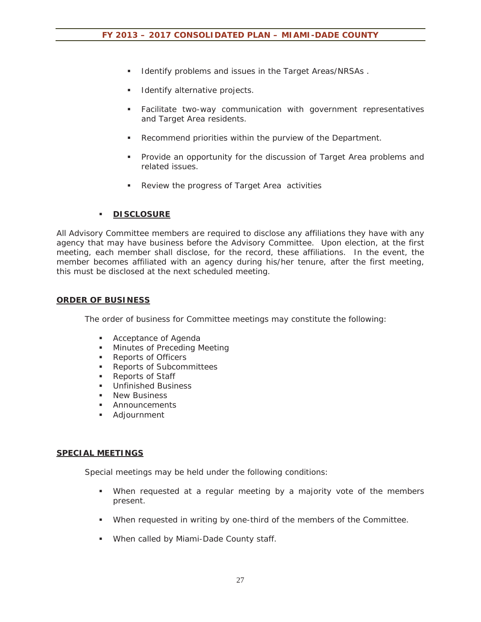- **IDENTIFY FROM ISSUES IN THE TARGET AREAS/NRSAS.**
- Identify alternative projects.
- Facilitate two-way communication with government representatives and Target Area residents.
- Recommend priorities within the purview of the Department.
- Provide an opportunity for the discussion of Target Area problems and related issues.
- Review the progress of Target Area activities

#### **DISCLOSURE**

All Advisory Committee members are required to disclose any affiliations they have with any agency that may have business before the Advisory Committee. Upon election, at the first meeting, each member shall disclose, for the record, these affiliations. In the event, the member becomes affiliated with an agency during his/her tenure, after the first meeting, this must be disclosed at the next scheduled meeting.

#### **ORDER OF BUSINESS**

The order of business for Committee meetings may constitute the following:

- **Acceptance of Agenda**
- **Minutes of Preceding Meeting**
- **Reports of Officers**
- **Reports of Subcommittees**
- Reports of Staff
- Unfinished Business
- **New Business**
- **Announcements**
- Adjournment

#### **SPECIAL MEETINGS**

Special meetings may be held under the following conditions:

- When requested at a regular meeting by a majority vote of the members present.
- When requested in writing by one-third of the members of the Committee.
- When called by Miami-Dade County staff.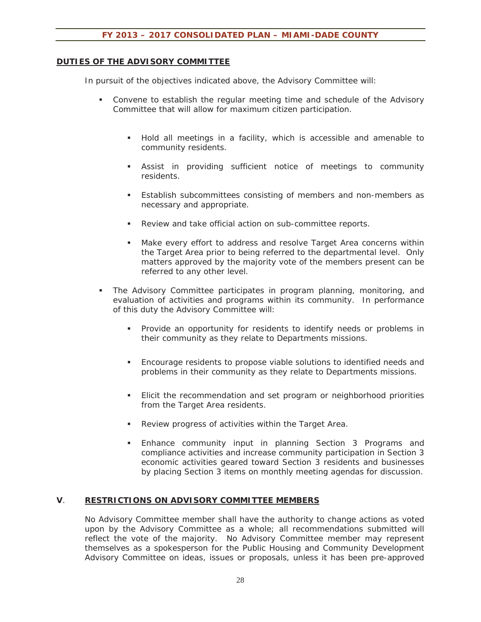#### **DUTIES OF THE ADVISORY COMMITTEE**

In pursuit of the objectives indicated above, the Advisory Committee will:

- Convene to establish the regular meeting time and schedule of the Advisory Committee that will allow for maximum citizen participation.
	- Hold all meetings in a facility, which is accessible and amenable to community residents.
	- Assist in providing sufficient notice of meetings to community residents.
	- Establish subcommittees consisting of members and non-members as necessary and appropriate.
	- Review and take official action on sub-committee reports.
	- Make every effort to address and resolve Target Area concerns within the Target Area prior to being referred to the departmental level. Only matters approved by the majority vote of the members present can be referred to any other level.
- The Advisory Committee participates in program planning, monitoring, and evaluation of activities and programs within its community. In performance of this duty the Advisory Committee will:
	- **Provide an opportunity for residents to identify needs or problems in** their community as they relate to Departments missions.
	- Encourage residents to propose viable solutions to identified needs and problems in their community as they relate to Departments missions.
	- Elicit the recommendation and set program or neighborhood priorities from the Target Area residents.
	- Review progress of activities within the Target Area.
	- **Enhance community input in planning Section 3 Programs and** compliance activities and increase community participation in Section 3 economic activities geared toward Section 3 residents and businesses by placing Section 3 items on monthly meeting agendas for discussion.

#### **V**. **RESTRICTIONS ON ADVISORY COMMITTEE MEMBERS**

No Advisory Committee member shall have the authority to change actions as voted upon by the Advisory Committee as a whole; all recommendations submitted will reflect the vote of the majority. No Advisory Committee member may represent themselves as a spokesperson for the Public Housing and Community Development Advisory Committee on ideas, issues or proposals, unless it has been pre-approved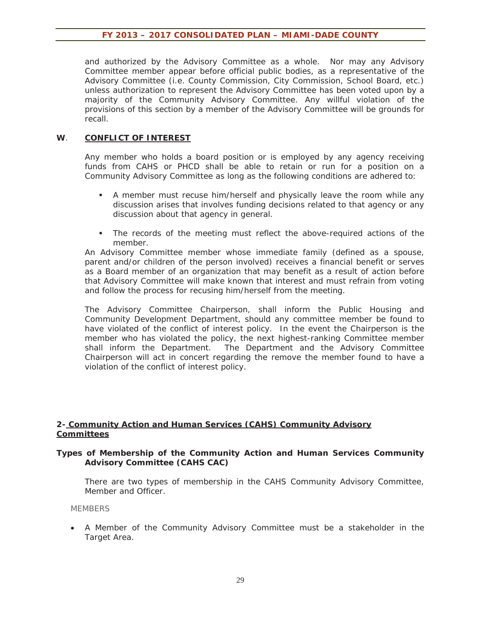and authorized by the Advisory Committee as a whole. Nor may any Advisory Committee member appear before official public bodies, as a representative of the Advisory Committee (i.e. County Commission, City Commission, School Board, etc.) unless authorization to represent the Advisory Committee has been voted upon by a majority of the Community Advisory Committee. Any willful violation of the provisions of this section by a member of the Advisory Committee will be grounds for recall.

#### **W**. **CONFLICT OF INTEREST**

Any member who holds a board position or is employed by any agency receiving funds from CAHS or PHCD shall be able to retain or run for a position on a Community Advisory Committee as long as the following conditions are adhered to:

- A member must recuse him/herself and physically leave the room while any discussion arises that involves funding decisions related to that agency or any discussion about that agency in general.
- The records of the meeting must reflect the above-required actions of the member.

An Advisory Committee member whose immediate family (defined as a spouse, parent and/or children of the person involved) receives a financial benefit or serves as a Board member of an organization that may benefit as a result of action before that Advisory Committee will make known that interest and must refrain from voting and follow the process for recusing him/herself from the meeting.

The Advisory Committee Chairperson, shall inform the Public Housing and Community Development Department, should any committee member be found to have violated of the conflict of interest policy. In the event the Chairperson is the member who has violated the policy, the next highest-ranking Committee member shall inform the Department. The Department and the Advisory Committee Chairperson will act in concert regarding the remove the member found to have a violation of the conflict of interest policy.

#### **2- Community Action and Human Services (CAHS) Community Advisory Committees**

#### **Types of Membership of the Community Action and Human Services Community Advisory Committee (CAHS CAC)**

There are two types of membership in the CAHS Community Advisory Committee, Member and Officer.

#### **MEMBERS**

• A Member of the Community Advisory Committee must be a stakeholder in the Target Area.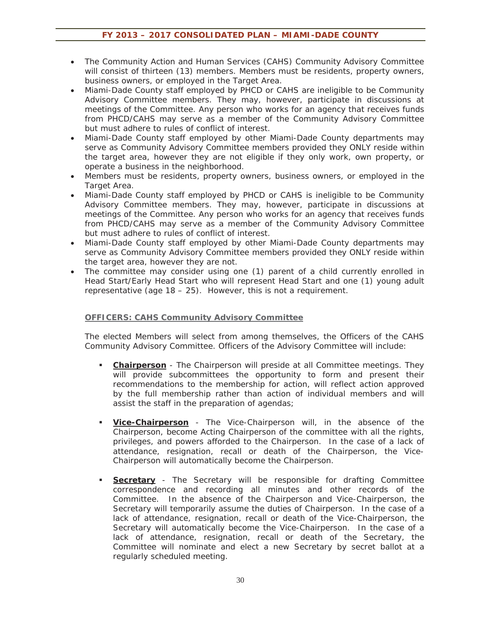- The Community Action and Human Services (CAHS) Community Advisory Committee will consist of thirteen (13) members. Members must be residents, property owners, business owners, or employed in the Target Area.
- Miami-Dade County staff employed by PHCD or CAHS are ineligible to be Community Advisory Committee members. They may, however, participate in discussions at meetings of the Committee. Any person who works for an agency that receives funds from PHCD/CAHS may serve as a member of the Community Advisory Committee but must adhere to rules of conflict of interest.
- Miami-Dade County staff employed by other Miami-Dade County departments may serve as Community Advisory Committee members provided they ONLY reside within the target area, however they are not eligible if they only work, own property, or operate a business in the neighborhood.
- Members must be residents, property owners, business owners, or employed in the Target Area.
- Miami-Dade County staff employed by PHCD or CAHS is ineligible to be Community Advisory Committee members. They may, however, participate in discussions at meetings of the Committee. Any person who works for an agency that receives funds from PHCD/CAHS may serve as a member of the Community Advisory Committee but must adhere to rules of conflict of interest.
- x Miami-Dade County staff employed by other Miami-Dade County departments may serve as Community Advisory Committee members provided they ONLY reside within the target area, however they are not.
- The committee may consider using one (1) parent of a child currently enrolled in Head Start/Early Head Start who will represent Head Start and one (1) young adult representative (age 18 – 25). However, this is not a requirement.

#### **OFFICERS: CAHS Community Advisory Committee**

The elected Members will select from among themselves, the Officers of the CAHS Community Advisory Committee. Officers of the Advisory Committee will include:

- **Chairperson** The Chairperson will preside at all Committee meetings. They will provide subcommittees the opportunity to form and present their recommendations to the membership for action, will reflect action approved by the full membership rather than action of individual members and will assist the staff in the preparation of agendas;
- **Vice-Chairperson** The Vice-Chairperson will, in the absence of the Chairperson, become Acting Chairperson of the committee with all the rights, privileges, and powers afforded to the Chairperson. In the case of a lack of attendance, resignation, recall or death of the Chairperson, the Vice-Chairperson will automatically become the Chairperson.
- **Secretary** The Secretary will be responsible for drafting Committee correspondence and recording all minutes and other records of the Committee. In the absence of the Chairperson and Vice-Chairperson, the Secretary will temporarily assume the duties of Chairperson. In the case of a lack of attendance, resignation, recall or death of the Vice-Chairperson, the Secretary will automatically become the Vice-Chairperson. In the case of a lack of attendance, resignation, recall or death of the Secretary, the Committee will nominate and elect a new Secretary by secret ballot at a regularly scheduled meeting.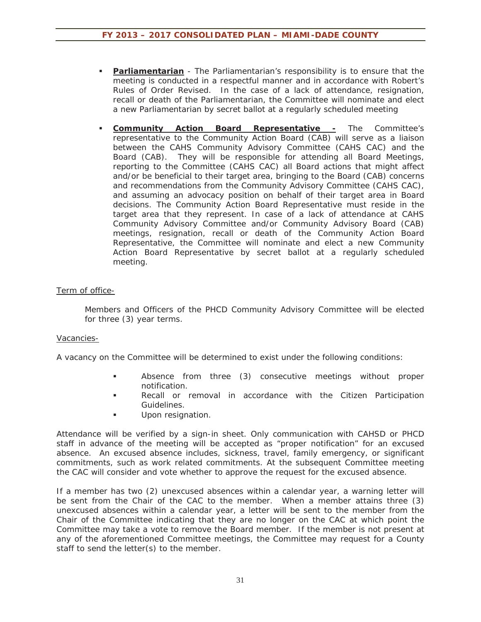- **Parliamentarian** The Parliamentarian's responsibility is to ensure that the meeting is conducted in a respectful manner and in accordance with Robert's Rules of Order Revised. In the case of a lack of attendance, resignation, recall or death of the Parliamentarian, the Committee will nominate and elect a new Parliamentarian by secret ballot at a regularly scheduled meeting
- **Community Action Board Representative -** The Committee's representative to the Community Action Board (CAB) will serve as a liaison between the CAHS Community Advisory Committee (CAHS CAC) and the Board (CAB). They will be responsible for attending all Board Meetings, reporting to the Committee (CAHS CAC) all Board actions that might affect and/or be beneficial to their target area, bringing to the Board (CAB) concerns and recommendations from the Community Advisory Committee (CAHS CAC), and assuming an advocacy position on behalf of their target area in Board decisions. The Community Action Board Representative must reside in the target area that they represent. In case of a lack of attendance at CAHS Community Advisory Committee and/or Community Advisory Board (CAB) meetings, resignation, recall or death of the Community Action Board Representative, the Committee will nominate and elect a new Community Action Board Representative by secret ballot at a regularly scheduled meeting.

#### Term of office-

Members and Officers of the PHCD Community Advisory Committee will be elected for three (3) year terms.

#### Vacancies-

A vacancy on the Committee will be determined to exist under the following conditions:

- Absence from three (3) consecutive meetings without proper notification.
- **Recall or removal in accordance with the Citizen Participation** Guidelines.
- Upon resignation.

Attendance will be verified by a sign-in sheet. Only communication with CAHSD or PHCD staff in advance of the meeting will be accepted as "proper notification" for an excused absence. An excused absence includes, sickness, travel, family emergency, or significant commitments, such as work related commitments. At the subsequent Committee meeting the CAC will consider and vote whether to approve the request for the excused absence.

If a member has two (2) unexcused absences within a calendar year, a warning letter will be sent from the Chair of the CAC to the member. When a member attains three (3) unexcused absences within a calendar year, a letter will be sent to the member from the Chair of the Committee indicating that they are no longer on the CAC at which point the Committee may take a vote to remove the Board member. If the member is not present at any of the aforementioned Committee meetings, the Committee may request for a County staff to send the letter(s) to the member.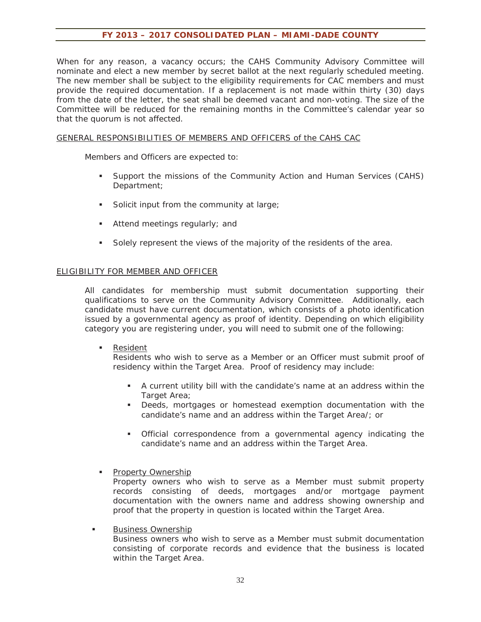When for any reason, a vacancy occurs; the CAHS Community Advisory Committee will nominate and elect a new member by secret ballot at the next regularly scheduled meeting. The new member shall be subject to the eligibility requirements for CAC members and must provide the required documentation. If a replacement is not made within thirty (30) days from the date of the letter, the seat shall be deemed vacant and non-voting. The size of the Committee will be reduced for the remaining months in the Committee's calendar year so that the quorum is not affected.

#### GENERAL RESPONSIBILITIES OF MEMBERS AND OFFICERS of the CAHS CAC

Members and Officers are expected to:

- Support the missions of the Community Action and Human Services (CAHS) Department;
- Solicit input from the community at large;
- Attend meetings regularly; and
- Solely represent the views of the majority of the residents of the area.

#### ELIGIBILITY FOR MEMBER AND OFFICER

All candidates for membership must submit documentation supporting their qualifications to serve on the Community Advisory Committee. Additionally, each candidate must have current documentation, which consists of a photo identification issued by a governmental agency as proof of identity. Depending on which eligibility category you are registering under, you will need to submit one of the following:

Resident

Residents who wish to serve as a Member or an Officer must submit proof of residency within the Target Area. Proof of residency may include:

- A current utility bill with the candidate's name at an address within the Target Area;
- Deeds, mortgages or homestead exemption documentation with the candidate's name and an address within the Target Area/; or
- Official correspondence from a governmental agency indicating the candidate's name and an address within the Target Area.

**Property Ownership** 

Property owners who wish to serve as a Member must submit property records consisting of deeds, mortgages and/or mortgage payment documentation with the owners name and address showing ownership and proof that the property in question is located within the Target Area.

Business Ownership

Business owners who wish to serve as a Member must submit documentation consisting of corporate records and evidence that the business is located within the Target Area.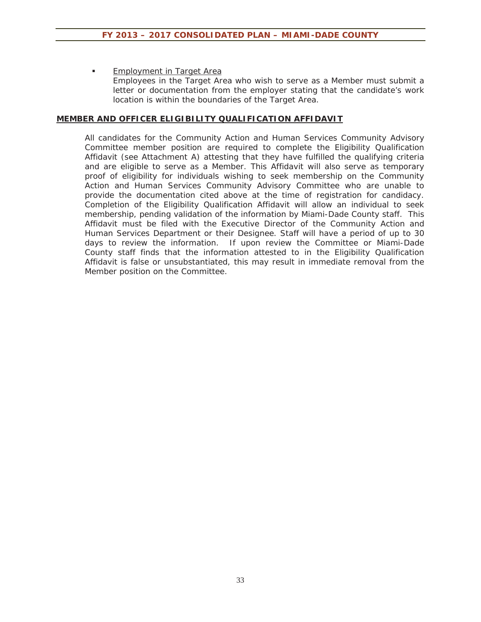**Employment in Target Area** Employees in the Target Area who wish to serve as a Member must submit a letter or documentation from the employer stating that the candidate's work location is within the boundaries of the Target Area.

#### **MEMBER AND OFFICER ELIGIBILITY QUALIFICATION AFFIDAVIT**

All candidates for the Community Action and Human Services Community Advisory Committee member position are required to complete the Eligibility Qualification Affidavit (see Attachment A) attesting that they have fulfilled the qualifying criteria and are eligible to serve as a Member. This Affidavit will also serve as temporary proof of eligibility for individuals wishing to seek membership on the Community Action and Human Services Community Advisory Committee who are unable to provide the documentation cited above at the time of registration for candidacy. Completion of the Eligibility Qualification Affidavit will allow an individual to seek membership, pending validation of the information by Miami-Dade County staff. This Affidavit must be filed with the Executive Director of the Community Action and Human Services Department or their Designee. Staff will have a period of up to 30 days to review the information. If upon review the Committee or Miami-Dade County staff finds that the information attested to in the Eligibility Qualification Affidavit is false or unsubstantiated, this may result in immediate removal from the Member position on the Committee.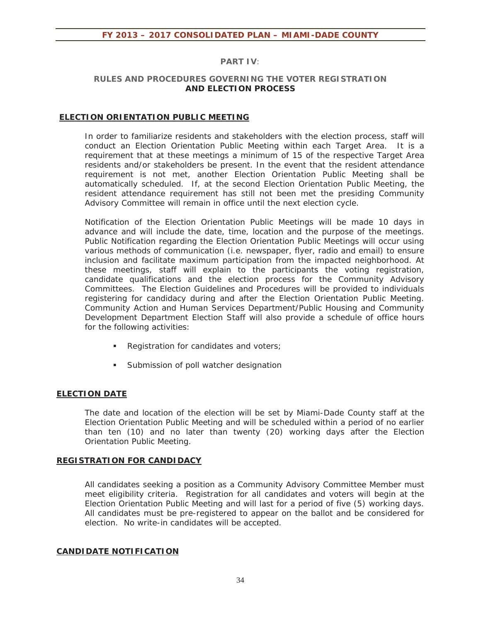#### **PART IV***:*

#### **RULES AND PROCEDURES GOVERNING THE VOTER REGISTRATION AND ELECTION PROCESS**

#### **ELECTION ORIENTATION PUBLIC MEETING**

In order to familiarize residents and stakeholders with the election process, staff will conduct an Election Orientation Public Meeting within each Target Area. It is a requirement that at these meetings a minimum of 15 of the respective Target Area residents and/or stakeholders be present. In the event that the resident attendance requirement is not met, another Election Orientation Public Meeting shall be automatically scheduled. If, at the second Election Orientation Public Meeting, the resident attendance requirement has still not been met the presiding Community Advisory Committee will remain in office until the next election cycle.

Notification of the Election Orientation Public Meetings will be made 10 days in advance and will include the date, time, location and the purpose of the meetings. Public Notification regarding the Election Orientation Public Meetings will occur using various methods of communication (i.e. newspaper, flyer, radio and email) to ensure inclusion and facilitate maximum participation from the impacted neighborhood. At these meetings, staff will explain to the participants the voting registration, candidate qualifications and the election process for the Community Advisory Committees. The Election Guidelines and Procedures will be provided to individuals registering for candidacy during and after the Election Orientation Public Meeting. Community Action and Human Services Department/Public Housing and Community Development Department Election Staff will also provide a schedule of office hours for the following activities:

- Registration for candidates and voters;
- **Submission of poll watcher designation**

#### **ELECTION DATE**

The date and location of the election will be set by Miami-Dade County staff at the Election Orientation Public Meeting and will be scheduled within a period of no earlier than ten (10) and no later than twenty (20) working days after the Election Orientation Public Meeting.

#### **REGISTRATION FOR CANDIDACY**

All candidates seeking a position as a Community Advisory Committee Member must meet eligibility criteria. Registration for all candidates and voters will begin at the Election Orientation Public Meeting and will last for a period of five (5) working days. All candidates must be pre-registered to appear on the ballot and be considered for election. No write-in candidates will be accepted.

#### **CANDIDATE NOTIFICATION**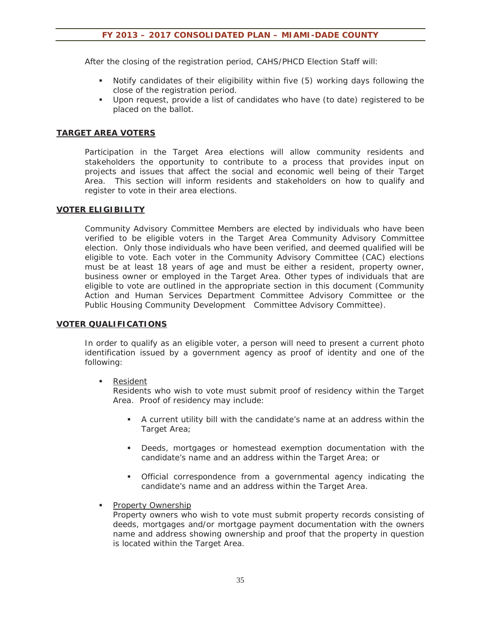After the closing of the registration period, CAHS/PHCD Election Staff will:

- Notify candidates of their eligibility within five (5) working days following the close of the registration period.
- Upon request, provide a list of candidates who have (to date) registered to be placed on the ballot.

#### **TARGET AREA VOTERS**

Participation in the Target Area elections will allow community residents and stakeholders the opportunity to contribute to a process that provides input on projects and issues that affect the social and economic well being of their Target Area. This section will inform residents and stakeholders on how to qualify and register to vote in their area elections.

#### **VOTER ELIGIBILITY**

Community Advisory Committee Members are elected by individuals who have been verified to be eligible voters in the Target Area Community Advisory Committee election. Only those individuals who have been verified, and deemed qualified will be eligible to vote. Each voter in the Community Advisory Committee (CAC) elections must be at least 18 years of age and must be either a resident, property owner, business owner or employed in the Target Area. Other types of individuals that are eligible to vote are outlined in the appropriate section in this document (Community Action and Human Services Department Committee Advisory Committee or the Public Housing Community Development Committee Advisory Committee).

#### **VOTER QUALIFICATIONS**

In order to qualify as an eligible voter, a person will need to present a current photo identification issued by a government agency as proof of identity and one of the following:

#### ■ Resident

Residents who wish to vote must submit proof of residency within the Target Area. Proof of residency may include:

- A current utility bill with the candidate's name at an address within the Target Area;
- Deeds, mortgages or homestead exemption documentation with the candidate's name and an address within the Target Area; or
- Official correspondence from a governmental agency indicating the candidate's name and an address within the Target Area.
- **Property Ownership**

Property owners who wish to vote must submit property records consisting of deeds, mortgages and/or mortgage payment documentation with the owners name and address showing ownership and proof that the property in question is located within the Target Area.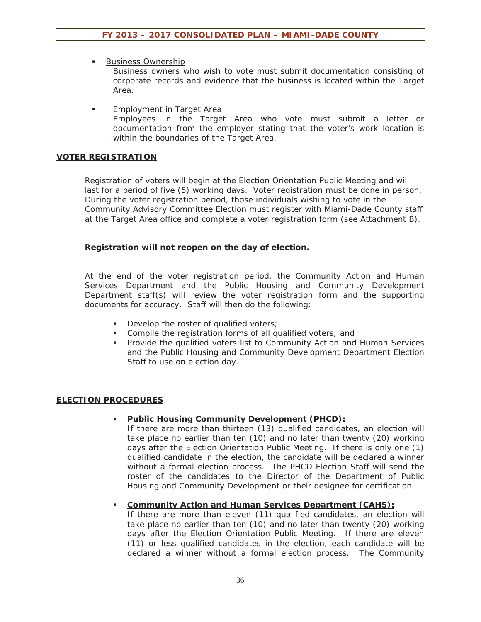Business Ownership

Business owners who wish to vote must submit documentation consisting of corporate records and evidence that the business is located within the Target Area.

**Employment in Target Area** Employees in the Target Area who vote must submit a letter or documentation from the employer stating that the voter's work location is within the boundaries of the Target Area.

#### **VOTER REGISTRATION**

Registration of voters will begin at the Election Orientation Public Meeting and will last for a period of five (5) working days. Voter registration must be done in person. During the voter registration period, those individuals wishing to vote in the Community Advisory Committee Election must register with Miami-Dade County staff at the Target Area office and complete a voter registration form (see Attachment B).

#### **Registration will not reopen on the day of election.**

At the end of the voter registration period, the Community Action and Human Services Department and the Public Housing and Community Development Department staff(s) will review the voter registration form and the supporting documents for accuracy. Staff will then do the following:

- Develop the roster of qualified voters;
- Compile the registration forms of all qualified voters; and
- **Provide the qualified voters list to Community Action and Human Services** and the Public Housing and Community Development Department Election Staff to use on election day.

#### **ELECTION PROCEDURES**

#### **Public Housing Community Development (PHCD):**

If there are more than thirteen (13) qualified candidates, an election will take place no earlier than ten (10) and no later than twenty (20) working days after the Election Orientation Public Meeting. If there is only one (1) qualified candidate in the election, the candidate will be declared a winner without a formal election process. The PHCD Election Staff will send the roster of the candidates to the Director of the Department of Public Housing and Community Development or their designee for certification.

#### **Community Action and Human Services Department (CAHS):**

If there are more than eleven (11) qualified candidates, an election will take place no earlier than ten (10) and no later than twenty (20) working days after the Election Orientation Public Meeting. If there are eleven (11) or less qualified candidates in the election, each candidate will be declared a winner without a formal election process. The Community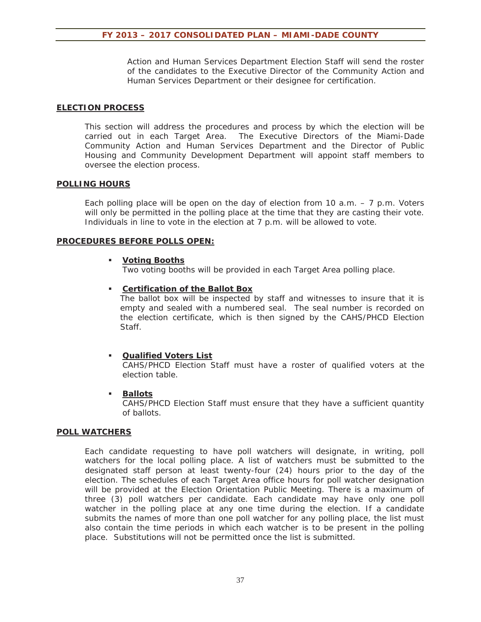Action and Human Services Department Election Staff will send the roster of the candidates to the Executive Director of the Community Action and Human Services Department or their designee for certification.

#### **ELECTION PROCESS**

This section will address the procedures and process by which the election will be carried out in each Target Area. The Executive Directors of the Miami-Dade Community Action and Human Services Department and the Director of Public Housing and Community Development Department will appoint staff members to oversee the election process.

#### **POLLING HOURS**

Each polling place will be open on the day of election from 10 a.m.  $-7$  p.m. Voters will only be permitted in the polling place at the time that they are casting their vote. Individuals in line to vote in the election at 7 p.m. will be allowed to vote.

#### **PROCEDURES BEFORE POLLS OPEN:**

#### **Voting Booths**

Two voting booths will be provided in each Target Area polling place.

#### **Certification of the Ballot Box**

The ballot box will be inspected by staff and witnesses to insure that it is empty and sealed with a numbered seal. The seal number is recorded on the election certificate, which is then signed by the CAHS/PHCD Election Staff.

#### **Qualified Voters List**

CAHS/PHCD Election Staff must have a roster of qualified voters at the election table.

#### **Ballots**

CAHS/PHCD Election Staff must ensure that they have a sufficient quantity of ballots.

#### **POLL WATCHERS**

Each candidate requesting to have poll watchers will designate, in writing, poll watchers for the local polling place. A list of watchers must be submitted to the designated staff person at least twenty-four (24) hours prior to the day of the election. The schedules of each Target Area office hours for poll watcher designation will be provided at the Election Orientation Public Meeting. There is a maximum of three (3) poll watchers per candidate. Each candidate may have only one poll watcher in the polling place at any one time during the election. If a candidate submits the names of more than one poll watcher for any polling place, the list must also contain the time periods in which each watcher is to be present in the polling place. Substitutions will not be permitted once the list is submitted.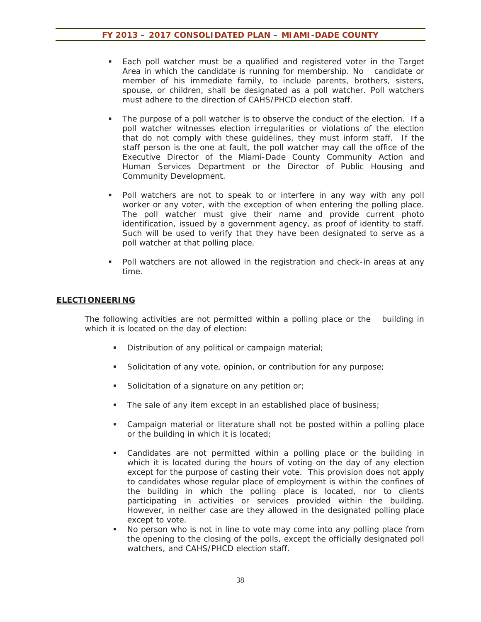- Each poll watcher must be a qualified and registered voter in the Target Area in which the candidate is running for membership. No candidate or member of his immediate family, to include parents, brothers, sisters, spouse, or children, shall be designated as a poll watcher. Poll watchers must adhere to the direction of CAHS/PHCD election staff.
- The purpose of a poll watcher is to observe the conduct of the election. If a poll watcher witnesses election irregularities or violations of the election that do not comply with these guidelines, they must inform staff. If the staff person is the one at fault, the poll watcher may call the office of the Executive Director of the Miami-Dade County Community Action and Human Services Department or the Director of Public Housing and Community Development.
- Poll watchers are not to speak to or interfere in any way with any poll worker or any voter, with the exception of when entering the polling place. The poll watcher must give their name and provide current photo identification, issued by a government agency, as proof of identity to staff. Such will be used to verify that they have been designated to serve as a poll watcher at that polling place.
- Poll watchers are not allowed in the registration and check-in areas at any time.

#### **ELECTIONEERING**

The following activities are not permitted within a polling place or the building in which it is located on the day of election:

- Distribution of any political or campaign material;
- Solicitation of any vote, opinion, or contribution for any purpose;
- Solicitation of a signature on any petition or;
- The sale of any item except in an established place of business;
- Campaign material or literature shall not be posted within a polling place or the building in which it is located;
- Candidates are not permitted within a polling place or the building in which it is located during the hours of voting on the day of any election except for the purpose of casting their vote. This provision does not apply to candidates whose regular place of employment is within the confines of the building in which the polling place is located, nor to clients participating in activities or services provided within the building. However, in neither case are they allowed in the designated polling place except to vote.
- No person who is not in line to vote may come into any polling place from the opening to the closing of the polls, except the officially designated poll watchers, and CAHS/PHCD election staff.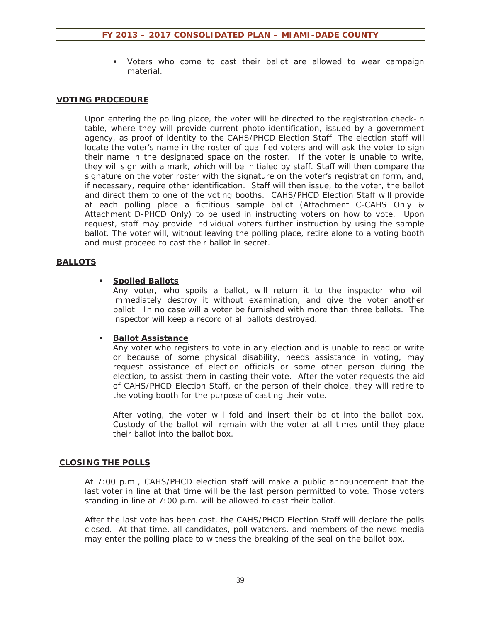Voters who come to cast their ballot are allowed to wear campaign material.

#### **VOTING PROCEDURE**

Upon entering the polling place, the voter will be directed to the registration check-in table, where they will provide current photo identification, issued by a government agency, as proof of identity to the CAHS/PHCD Election Staff. The election staff will locate the voter's name in the roster of qualified voters and will ask the voter to sign their name in the designated space on the roster. If the voter is unable to write, they will sign with a mark, which will be initialed by staff. Staff will then compare the signature on the voter roster with the signature on the voter's registration form, and, if necessary, require other identification. Staff will then issue, to the voter, the ballot and direct them to one of the voting booths. CAHS/PHCD Election Staff will provide at each polling place a fictitious sample ballot (Attachment C-CAHS Only & Attachment D-PHCD Only) to be used in instructing voters on how to vote. Upon request, staff may provide individual voters further instruction by using the sample ballot. The voter will, without leaving the polling place, retire alone to a voting booth and must proceed to cast their ballot in secret.

#### **BALLOTS**

#### **Spoiled Ballots**

Any voter, who spoils a ballot, will return it to the inspector who will immediately destroy it without examination, and give the voter another ballot. In no case will a voter be furnished with more than three ballots. The inspector will keep a record of all ballots destroyed.

#### **Ballot Assistance**

Any voter who registers to vote in any election and is unable to read or write or because of some physical disability, needs assistance in voting, may request assistance of election officials or some other person during the election, to assist them in casting their vote. After the voter requests the aid of CAHS/PHCD Election Staff, or the person of their choice, they will retire to the voting booth for the purpose of casting their vote.

After voting, the voter will fold and insert their ballot into the ballot box. Custody of the ballot will remain with the voter at all times until they place their ballot into the ballot box.

#### **CLOSING THE POLLS**

At 7:00 p.m., CAHS/PHCD election staff will make a public announcement that the last voter in line at that time will be the last person permitted to vote. Those voters standing in line at 7:00 p.m. will be allowed to cast their ballot.

After the last vote has been cast, the CAHS/PHCD Election Staff will declare the polls closed. At that time, all candidates, poll watchers, and members of the news media may enter the polling place to witness the breaking of the seal on the ballot box.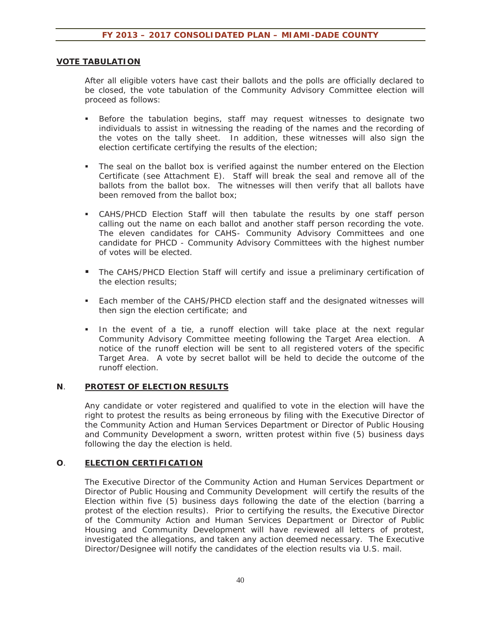#### **VOTE TABULATION**

After all eligible voters have cast their ballots and the polls are officially declared to be closed, the vote tabulation of the Community Advisory Committee election will proceed as follows:

- Before the tabulation begins, staff may request witnesses to designate two individuals to assist in witnessing the reading of the names and the recording of the votes on the tally sheet. In addition, these witnesses will also sign the election certificate certifying the results of the election;
- The seal on the ballot box is verified against the number entered on the Election Certificate (see Attachment E). Staff will break the seal and remove all of the ballots from the ballot box. The witnesses will then verify that all ballots have been removed from the ballot box;
- CAHS/PHCD Election Staff will then tabulate the results by one staff person calling out the name on each ballot and another staff person recording the vote. The eleven candidates for CAHS- Community Advisory Committees and one candidate for PHCD - Community Advisory Committees with the highest number of votes will be elected.
- **The CAHS/PHCD Election Staff will certify and issue a preliminary certification of** the election results;
- Each member of the CAHS/PHCD election staff and the designated witnesses will then sign the election certificate; and
- In the event of a tie, a runoff election will take place at the next regular Community Advisory Committee meeting following the Target Area election. A notice of the runoff election will be sent to all registered voters of the specific Target Area. A vote by secret ballot will be held to decide the outcome of the runoff election.

#### **N**. **PROTEST OF ELECTION RESULTS**

Any candidate or voter registered and qualified to vote in the election will have the right to protest the results as being erroneous by filing with the Executive Director of the Community Action and Human Services Department or Director of Public Housing and Community Development a sworn, written protest within five (5) business days following the day the election is held.

#### **O**. **ELECTION CERTIFICATION**

The Executive Director of the Community Action and Human Services Department or Director of Public Housing and Community Development will certify the results of the Election within five (5) business days following the date of the election (barring a protest of the election results). Prior to certifying the results, the Executive Director of the Community Action and Human Services Department or Director of Public Housing and Community Development will have reviewed all letters of protest, investigated the allegations, and taken any action deemed necessary. The Executive Director/Designee will notify the candidates of the election results via U.S. mail.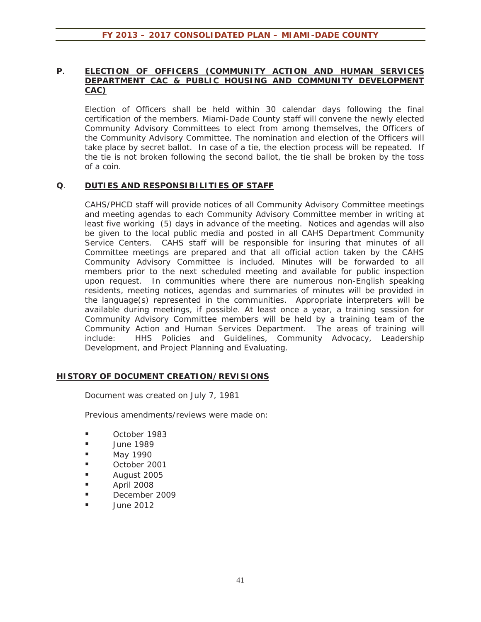#### **P**. **ELECTION OF OFFICERS (COMMUNITY ACTION AND HUMAN SERVICES DEPARTMENT CAC & PUBLIC HOUSING AND COMMUNITY DEVELOPMENT CAC)**

Election of Officers shall be held within 30 calendar days following the final certification of the members. Miami-Dade County staff will convene the newly elected Community Advisory Committees to elect from among themselves, the Officers of the Community Advisory Committee. The nomination and election of the Officers will take place by secret ballot. In case of a tie, the election process will be repeated. If the tie is not broken following the second ballot, the tie shall be broken by the toss of a coin.

#### **Q**. **DUTIES AND RESPONSIBILITIES OF STAFF**

CAHS/PHCD staff will provide notices of all Community Advisory Committee meetings and meeting agendas to each Community Advisory Committee member in writing at least five working (5) days in advance of the meeting. Notices and agendas will also be given to the local public media and posted in all CAHS Department Community Service Centers. CAHS staff will be responsible for insuring that minutes of all Committee meetings are prepared and that all official action taken by the CAHS Community Advisory Committee is included. Minutes will be forwarded to all members prior to the next scheduled meeting and available for public inspection upon request. In communities where there are numerous non-English speaking residents, meeting notices, agendas and summaries of minutes will be provided in the language(s) represented in the communities. Appropriate interpreters will be available during meetings, if possible. At least once a year, a training session for Community Advisory Committee members will be held by a training team of the Community Action and Human Services Department. The areas of training will include: HHS Policies and Guidelines, Community Advocacy, Leadership Development, and Project Planning and Evaluating.

#### **HISTORY OF DOCUMENT CREATION/REVISIONS**

Document was created on July 7, 1981

Previous amendments/reviews were made on:

- October 1983
- **June 1989**
- May 1990
- October 2001
- **August 2005**
- $\blacksquare$  April 2008
- December 2009
- June 2012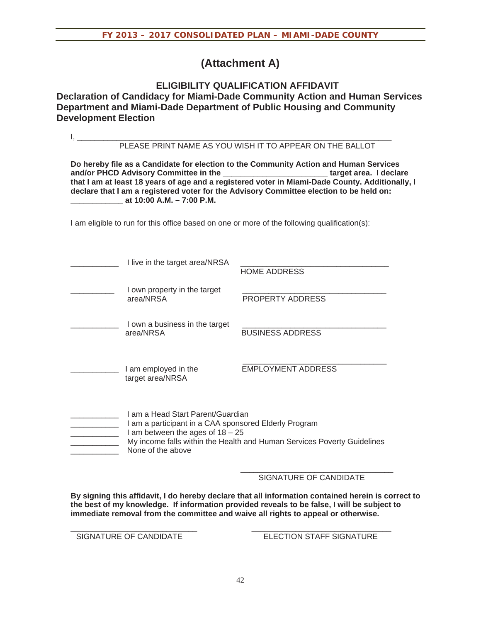### **(Attachment A)**

### **ELIGIBILITY QUALIFICATION AFFIDAVIT Declaration of Candidacy for Miami-Dade Community Action and Human Services Department and Miami-Dade Department of Public Housing and Community Development Election**

|                                                                                                                                                                                                                                                                                                                                                                                     |                                                                                                                                                                                                                                  | PLEASE PRINT NAME AS YOU WISH IT TO APPEAR ON THE BALLOT |  |
|-------------------------------------------------------------------------------------------------------------------------------------------------------------------------------------------------------------------------------------------------------------------------------------------------------------------------------------------------------------------------------------|----------------------------------------------------------------------------------------------------------------------------------------------------------------------------------------------------------------------------------|----------------------------------------------------------|--|
| Do hereby file as a Candidate for election to the Community Action and Human Services<br>and/or PHCD Advisory Committee in the<br>target area. I declare<br>that I am at least 18 years of age and a registered voter in Miami-Dade County. Additionally, I<br>declare that I am a registered voter for the Advisory Committee election to be held on:<br>at 10:00 A.M. - 7:00 P.M. |                                                                                                                                                                                                                                  |                                                          |  |
| I am eligible to run for this office based on one or more of the following qualification(s):                                                                                                                                                                                                                                                                                        |                                                                                                                                                                                                                                  |                                                          |  |
|                                                                                                                                                                                                                                                                                                                                                                                     | I live in the target area/NRSA                                                                                                                                                                                                   | <b>HOME ADDRESS</b>                                      |  |
|                                                                                                                                                                                                                                                                                                                                                                                     | I own property in the target<br>area/NRSA                                                                                                                                                                                        | PROPERTY ADDRESS                                         |  |
|                                                                                                                                                                                                                                                                                                                                                                                     | I own a business in the target<br>area/NRSA                                                                                                                                                                                      | <b>BUSINESS ADDRESS</b>                                  |  |
|                                                                                                                                                                                                                                                                                                                                                                                     | I am employed in the<br>target area/NRSA                                                                                                                                                                                         | <b>EMPLOYMENT ADDRESS</b>                                |  |
|                                                                                                                                                                                                                                                                                                                                                                                     | I am a Head Start Parent/Guardian<br>I am a participant in a CAA sponsored Elderly Program<br>I am between the ages of $18 - 25$<br>My income falls within the Health and Human Services Poverty Guidelines<br>None of the above |                                                          |  |

 $\frac{1}{2}$  ,  $\frac{1}{2}$  ,  $\frac{1}{2}$  ,  $\frac{1}{2}$  ,  $\frac{1}{2}$  ,  $\frac{1}{2}$  ,  $\frac{1}{2}$  ,  $\frac{1}{2}$  ,  $\frac{1}{2}$  ,  $\frac{1}{2}$  ,  $\frac{1}{2}$  ,  $\frac{1}{2}$  ,  $\frac{1}{2}$  ,  $\frac{1}{2}$  ,  $\frac{1}{2}$  ,  $\frac{1}{2}$  ,  $\frac{1}{2}$  ,  $\frac{1}{2}$  ,  $\frac{1$ SIGNATURE OF CANDIDATE

**By signing this affidavit, I do hereby declare that all information contained herein is correct to the best of my knowledge. If information provided reveals to be false, I will be subject to immediate removal from the committee and waive all rights to appeal or otherwise.** 

\_\_\_\_\_\_\_\_\_\_\_\_\_\_\_\_\_\_\_\_\_\_\_\_\_\_\_\_\_ \_\_\_\_\_\_\_\_\_\_\_\_\_\_\_\_\_\_\_\_\_\_\_\_\_\_\_\_\_\_\_\_ SIGNATURE OF CANDIDATE ELECTION STAFF SIGNATURE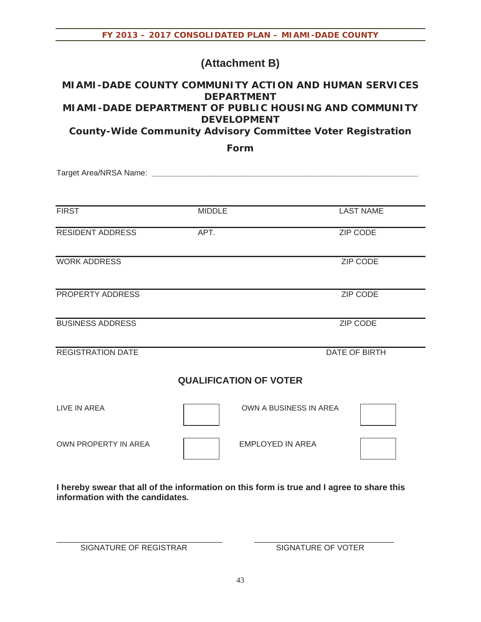### **(Attachment B)**

### **MIAMI-DADE COUNTY COMMUNITY ACTION AND HUMAN SERVICES DEPARTMENT MIAMI-DADE DEPARTMENT OF PUBLIC HOUSING AND COMMUNITY DEVELOPMENT**

**County-Wide Community Advisory Committee Voter Registration** 

**Form**

Target Area/NRSA Name: **\_\_\_\_\_\_\_\_\_\_\_\_\_\_\_\_\_\_\_\_\_\_\_\_\_\_\_\_\_\_\_\_\_\_\_\_\_\_\_\_\_\_\_\_\_\_\_\_\_\_\_\_\_\_\_\_\_\_\_\_\_**

| <b>FIRST</b>                  | <b>MIDDLE</b> | <b>LAST NAME</b>        |  |
|-------------------------------|---------------|-------------------------|--|
| <b>RESIDENT ADDRESS</b>       | APT.          | <b>ZIP CODE</b>         |  |
| <b>WORK ADDRESS</b>           |               | ZIP CODE                |  |
| PROPERTY ADDRESS              |               | ZIP CODE                |  |
| <b>BUSINESS ADDRESS</b>       |               | <b>ZIP CODE</b>         |  |
| <b>REGISTRATION DATE</b>      |               | DATE OF BIRTH           |  |
| <b>QUALIFICATION OF VOTER</b> |               |                         |  |
| <b>LIVE IN AREA</b>           |               | OWN A BUSINESS IN AREA  |  |
| <b>OWN PROPERTY IN AREA</b>   |               | <b>EMPLOYED IN AREA</b> |  |

**I hereby swear that all of the information on this form is true and I agree to share this information with the candidates.**

\_\_\_\_\_\_\_\_\_\_\_\_\_\_\_\_\_\_\_\_\_\_\_\_\_\_\_\_\_\_\_\_\_\_\_\_\_\_ \_\_\_\_\_\_\_\_\_\_\_\_\_\_\_\_\_\_\_\_\_\_\_\_\_\_\_\_\_\_\_\_

SIGNATURE OF REGISTRAR SIGNATURE OF VOTER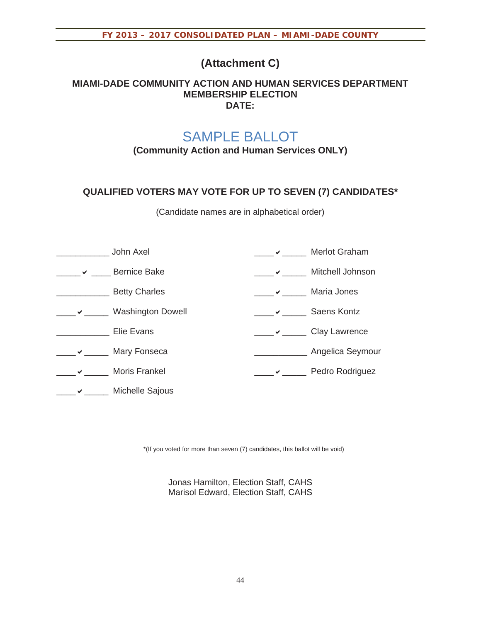## **(Attachment C)**

#### **MIAMI-DADE COMMUNITY ACTION AND HUMAN SERVICES DEPARTMENT MEMBERSHIP ELECTION DATE:**

# SAMPLE BALLOT

**(Community Action and Human Services ONLY)** 

### **QUALIFIED VOTERS MAY VOTE FOR UP TO SEVEN (7) CANDIDATES\***

(Candidate names are in alphabetical order)

|              | John Axel                | Merlot Graham      |
|--------------|--------------------------|--------------------|
| $\checkmark$ | <b>Bernice Bake</b>      | Mitchell Johnson   |
|              | <b>Betty Charles</b>     | Maria Jones        |
|              | <b>Washington Dowell</b> | <b>Saens Kontz</b> |
|              | Elie Evans               | Clay Lawrence      |
| ✔            | Mary Fonseca             | Angelica Seymour   |
|              | <b>Moris Frankel</b>     | Pedro Rodriguez    |
|              | Michelle Sajous          |                    |

\*(If you voted for more than seven (7) candidates, this ballot will be void)

Jonas Hamilton, Election Staff, CAHS Marisol Edward, Election Staff, CAHS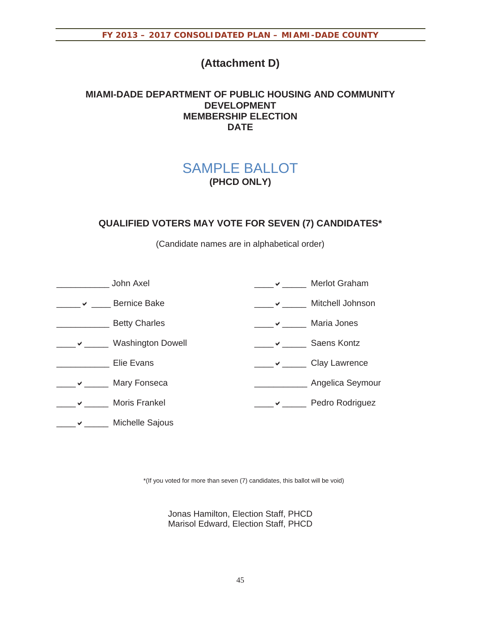## **(Attachment D)**

### **MIAMI-DADE DEPARTMENT OF PUBLIC HOUSING AND COMMUNITY DEVELOPMENT MEMBERSHIP ELECTION DATE**

## SAMPLE BALLOT **(PHCD ONLY)**

### **QUALIFIED VOTERS MAY VOTE FOR SEVEN (7) CANDIDATES\***

(Candidate names are in alphabetical order)

|   | John Axel                | <b>Merlot Graham</b> |
|---|--------------------------|----------------------|
| ✓ | <b>Bernice Bake</b>      | Mitchell Johnson     |
|   | <b>Betty Charles</b>     | Maria Jones          |
|   | <b>Washington Dowell</b> | <b>Saens Kontz</b>   |
|   | Elie Evans               | <b>Clay Lawrence</b> |
|   | Mary Fonseca             | Angelica Seymour     |
|   | <b>Moris Frankel</b>     | Pedro Rodriguez      |
|   | Michelle Sajous          |                      |

\*(If you voted for more than seven (7) candidates, this ballot will be void)

Jonas Hamilton, Election Staff, PHCD Marisol Edward, Election Staff, PHCD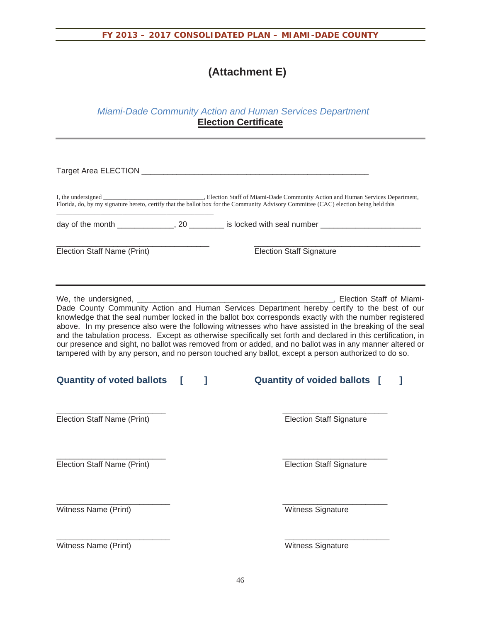## **(Attachment E)**

### *Miami-Dade Community Action and Human Services Department*  **Election Certificate**

| Target Area ELECTION ___                                                                                                                                                                                                                                                                                                                                                                                                                                                                                                                                                                                                                                                                                                                                                                                            |  |                                                                                                     |  |
|---------------------------------------------------------------------------------------------------------------------------------------------------------------------------------------------------------------------------------------------------------------------------------------------------------------------------------------------------------------------------------------------------------------------------------------------------------------------------------------------------------------------------------------------------------------------------------------------------------------------------------------------------------------------------------------------------------------------------------------------------------------------------------------------------------------------|--|-----------------------------------------------------------------------------------------------------|--|
|                                                                                                                                                                                                                                                                                                                                                                                                                                                                                                                                                                                                                                                                                                                                                                                                                     |  |                                                                                                     |  |
|                                                                                                                                                                                                                                                                                                                                                                                                                                                                                                                                                                                                                                                                                                                                                                                                                     |  | day of the month ______________, 20 ________ is locked with seal number ___________________________ |  |
| Election Staff Name (Print)                                                                                                                                                                                                                                                                                                                                                                                                                                                                                                                                                                                                                                                                                                                                                                                         |  | <b>Election Staff Signature</b>                                                                     |  |
| We, the undersigned, __________________<br>Election Staff of Miami-<br>Dade County Community Action and Human Services Department hereby certify to the best of our<br>knowledge that the seal number locked in the ballot box corresponds exactly with the number registered<br>above. In my presence also were the following witnesses who have assisted in the breaking of the seal<br>and the tabulation process. Except as otherwise specifically set forth and declared in this certification, in<br>our presence and sight, no ballot was removed from or added, and no ballot was in any manner altered or<br>tampered with by any person, and no person touched any ballot, except a person authorized to do so.<br><b>Quantity of voted ballots</b><br>T<br><b>Quantity of voided ballots</b> [<br>1<br>1 |  |                                                                                                     |  |
| Election Staff Name (Print)                                                                                                                                                                                                                                                                                                                                                                                                                                                                                                                                                                                                                                                                                                                                                                                         |  | <b>Election Staff Signature</b>                                                                     |  |
| Election Staff Name (Print)                                                                                                                                                                                                                                                                                                                                                                                                                                                                                                                                                                                                                                                                                                                                                                                         |  | <b>Election Staff Signature</b>                                                                     |  |
| Witness Name (Print)                                                                                                                                                                                                                                                                                                                                                                                                                                                                                                                                                                                                                                                                                                                                                                                                |  | Witness Signature                                                                                   |  |
| Witness Name (Print)                                                                                                                                                                                                                                                                                                                                                                                                                                                                                                                                                                                                                                                                                                                                                                                                |  | Witness Signature                                                                                   |  |